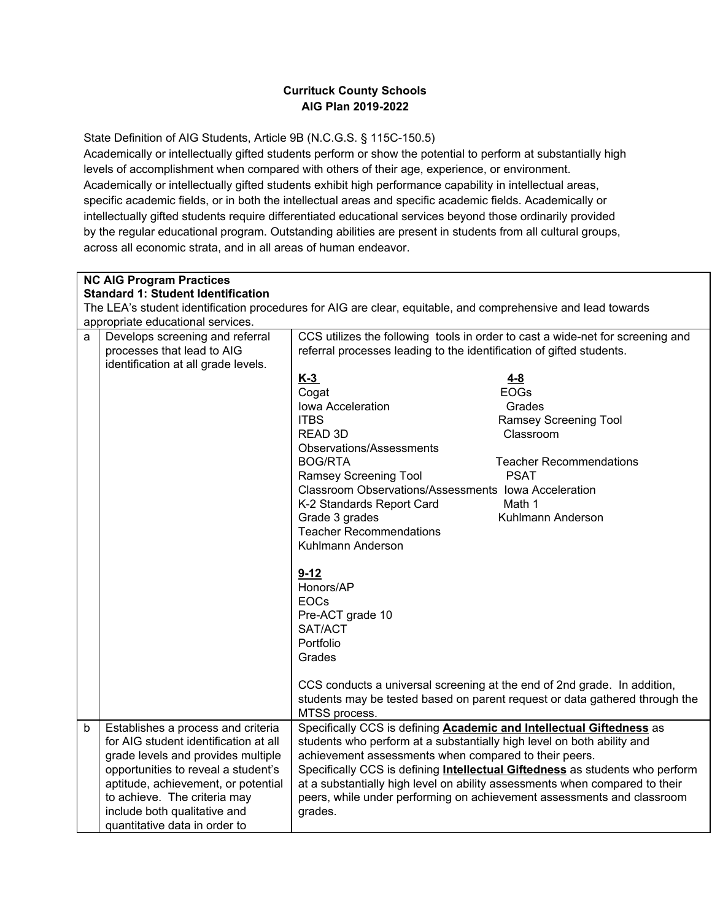## **Currituck County Schools AIG Plan 2019-2022**

State Definition of AIG Students, Article 9B (N.C.G.S. § 115C-150.5)

Academically or intellectually gifted students perform or show the potential to perform at substantially high levels of accomplishment when compared with others of their age, experience, or environment. Academically or intellectually gifted students exhibit high performance capability in intellectual areas, specific academic fields, or in both the intellectual areas and specific academic fields. Academically or intellectually gifted students require differentiated educational services beyond those ordinarily provided by the regular educational program. Outstanding abilities are present in students from all cultural groups, across all economic strata, and in all areas of human endeavor.

|   | <b>NC AIG Program Practices</b>                                                                              |                                                                                     |  |  |  |
|---|--------------------------------------------------------------------------------------------------------------|-------------------------------------------------------------------------------------|--|--|--|
|   | <b>Standard 1: Student Identification</b>                                                                    |                                                                                     |  |  |  |
|   | The LEA's student identification procedures for AIG are clear, equitable, and comprehensive and lead towards |                                                                                     |  |  |  |
|   | appropriate educational services.                                                                            |                                                                                     |  |  |  |
| a | Develops screening and referral                                                                              | CCS utilizes the following tools in order to cast a wide-net for screening and      |  |  |  |
|   | processes that lead to AIG                                                                                   | referral processes leading to the identification of gifted students.                |  |  |  |
|   | identification at all grade levels.                                                                          |                                                                                     |  |  |  |
|   |                                                                                                              | $K-3$<br>$4 - 8$<br><b>EOGs</b><br>Cogat                                            |  |  |  |
|   |                                                                                                              | Iowa Acceleration<br>Grades                                                         |  |  |  |
|   |                                                                                                              | <b>ITBS</b>                                                                         |  |  |  |
|   |                                                                                                              | Ramsey Screening Tool<br>READ 3D<br>Classroom                                       |  |  |  |
|   |                                                                                                              |                                                                                     |  |  |  |
|   |                                                                                                              | Observations/Assessments                                                            |  |  |  |
|   |                                                                                                              | <b>BOG/RTA</b><br><b>Teacher Recommendations</b>                                    |  |  |  |
|   |                                                                                                              | <b>PSAT</b><br>Ramsey Screening Tool                                                |  |  |  |
|   |                                                                                                              | Classroom Observations/Assessments Iowa Acceleration                                |  |  |  |
|   |                                                                                                              | K-2 Standards Report Card<br>Math 1                                                 |  |  |  |
|   |                                                                                                              | Grade 3 grades<br>Kuhlmann Anderson                                                 |  |  |  |
|   |                                                                                                              | <b>Teacher Recommendations</b>                                                      |  |  |  |
|   |                                                                                                              | Kuhlmann Anderson                                                                   |  |  |  |
|   |                                                                                                              |                                                                                     |  |  |  |
|   |                                                                                                              | $9 - 12$                                                                            |  |  |  |
|   |                                                                                                              | Honors/AP                                                                           |  |  |  |
|   |                                                                                                              | <b>EOCs</b>                                                                         |  |  |  |
|   |                                                                                                              | Pre-ACT grade 10                                                                    |  |  |  |
|   |                                                                                                              | SAT/ACT                                                                             |  |  |  |
|   |                                                                                                              | Portfolio                                                                           |  |  |  |
|   |                                                                                                              | Grades                                                                              |  |  |  |
|   |                                                                                                              |                                                                                     |  |  |  |
|   |                                                                                                              | CCS conducts a universal screening at the end of 2nd grade. In addition,            |  |  |  |
|   | students may be tested based on parent request or data gathered through the                                  |                                                                                     |  |  |  |
|   |                                                                                                              | MTSS process.                                                                       |  |  |  |
| b | Establishes a process and criteria                                                                           | Specifically CCS is defining Academic and Intellectual Giftedness as                |  |  |  |
|   | for AIG student identification at all                                                                        | students who perform at a substantially high level on both ability and              |  |  |  |
|   | grade levels and provides multiple                                                                           | achievement assessments when compared to their peers.                               |  |  |  |
|   | opportunities to reveal a student's                                                                          | Specifically CCS is defining <i>Intellectual Giftedness</i> as students who perform |  |  |  |
|   | aptitude, achievement, or potential                                                                          | at a substantially high level on ability assessments when compared to their         |  |  |  |
|   | to achieve. The criteria may                                                                                 | peers, while under performing on achievement assessments and classroom              |  |  |  |
|   | include both qualitative and<br>grades.                                                                      |                                                                                     |  |  |  |
|   | quantitative data in order to                                                                                |                                                                                     |  |  |  |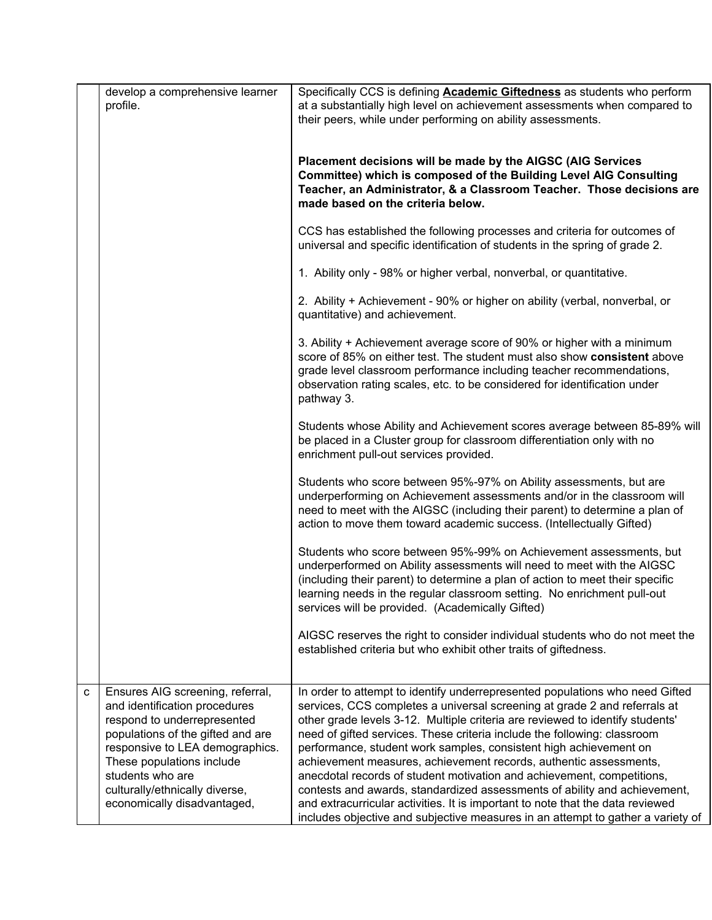|   | develop a comprehensive learner<br>profile.                                                                                                                                                                                                                                                | Specifically CCS is defining Academic Giftedness as students who perform<br>at a substantially high level on achievement assessments when compared to<br>their peers, while under performing on ability assessments.                                                                                                                                                                                                                                                                                                                                                                                                                                                                                                                                                                         |
|---|--------------------------------------------------------------------------------------------------------------------------------------------------------------------------------------------------------------------------------------------------------------------------------------------|----------------------------------------------------------------------------------------------------------------------------------------------------------------------------------------------------------------------------------------------------------------------------------------------------------------------------------------------------------------------------------------------------------------------------------------------------------------------------------------------------------------------------------------------------------------------------------------------------------------------------------------------------------------------------------------------------------------------------------------------------------------------------------------------|
|   |                                                                                                                                                                                                                                                                                            | Placement decisions will be made by the AIGSC (AIG Services<br>Committee) which is composed of the Building Level AIG Consulting<br>Teacher, an Administrator, & a Classroom Teacher. Those decisions are<br>made based on the criteria below.                                                                                                                                                                                                                                                                                                                                                                                                                                                                                                                                               |
|   |                                                                                                                                                                                                                                                                                            | CCS has established the following processes and criteria for outcomes of<br>universal and specific identification of students in the spring of grade 2.                                                                                                                                                                                                                                                                                                                                                                                                                                                                                                                                                                                                                                      |
|   |                                                                                                                                                                                                                                                                                            | 1. Ability only - 98% or higher verbal, nonverbal, or quantitative.                                                                                                                                                                                                                                                                                                                                                                                                                                                                                                                                                                                                                                                                                                                          |
|   |                                                                                                                                                                                                                                                                                            | 2. Ability + Achievement - 90% or higher on ability (verbal, nonverbal, or<br>quantitative) and achievement.                                                                                                                                                                                                                                                                                                                                                                                                                                                                                                                                                                                                                                                                                 |
|   |                                                                                                                                                                                                                                                                                            | 3. Ability + Achievement average score of 90% or higher with a minimum<br>score of 85% on either test. The student must also show consistent above<br>grade level classroom performance including teacher recommendations,<br>observation rating scales, etc. to be considered for identification under<br>pathway 3.                                                                                                                                                                                                                                                                                                                                                                                                                                                                        |
|   |                                                                                                                                                                                                                                                                                            | Students whose Ability and Achievement scores average between 85-89% will<br>be placed in a Cluster group for classroom differentiation only with no<br>enrichment pull-out services provided.                                                                                                                                                                                                                                                                                                                                                                                                                                                                                                                                                                                               |
|   |                                                                                                                                                                                                                                                                                            | Students who score between 95%-97% on Ability assessments, but are<br>underperforming on Achievement assessments and/or in the classroom will<br>need to meet with the AIGSC (including their parent) to determine a plan of<br>action to move them toward academic success. (Intellectually Gifted)                                                                                                                                                                                                                                                                                                                                                                                                                                                                                         |
|   |                                                                                                                                                                                                                                                                                            | Students who score between 95%-99% on Achievement assessments, but<br>underperformed on Ability assessments will need to meet with the AIGSC<br>(including their parent) to determine a plan of action to meet their specific<br>learning needs in the regular classroom setting. No enrichment pull-out<br>services will be provided. (Academically Gifted)                                                                                                                                                                                                                                                                                                                                                                                                                                 |
|   |                                                                                                                                                                                                                                                                                            | AIGSC reserves the right to consider individual students who do not meet the<br>established criteria but who exhibit other traits of giftedness.                                                                                                                                                                                                                                                                                                                                                                                                                                                                                                                                                                                                                                             |
| C | Ensures AIG screening, referral,<br>and identification procedures<br>respond to underrepresented<br>populations of the gifted and are<br>responsive to LEA demographics.<br>These populations include<br>students who are<br>culturally/ethnically diverse,<br>economically disadvantaged, | In order to attempt to identify underrepresented populations who need Gifted<br>services, CCS completes a universal screening at grade 2 and referrals at<br>other grade levels 3-12. Multiple criteria are reviewed to identify students'<br>need of gifted services. These criteria include the following: classroom<br>performance, student work samples, consistent high achievement on<br>achievement measures, achievement records, authentic assessments,<br>anecdotal records of student motivation and achievement, competitions,<br>contests and awards, standardized assessments of ability and achievement,<br>and extracurricular activities. It is important to note that the data reviewed<br>includes objective and subjective measures in an attempt to gather a variety of |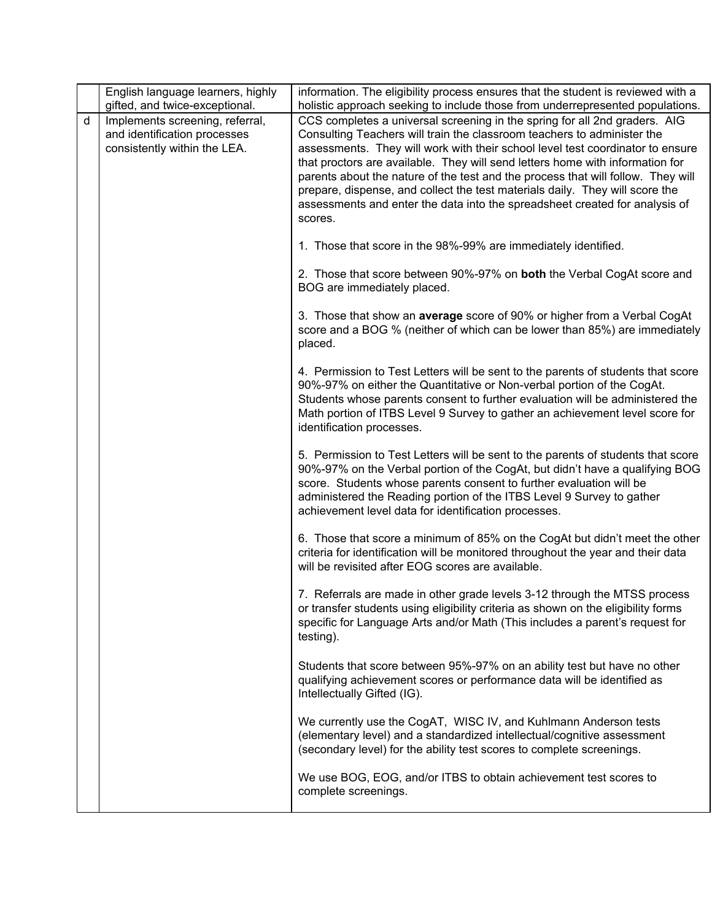|   | English language learners, highly<br>gifted, and twice-exceptional.                             | information. The eligibility process ensures that the student is reviewed with a<br>holistic approach seeking to include those from underrepresented populations.                                                                                                                                                                                                                                                                                                                                                                                                                      |
|---|-------------------------------------------------------------------------------------------------|----------------------------------------------------------------------------------------------------------------------------------------------------------------------------------------------------------------------------------------------------------------------------------------------------------------------------------------------------------------------------------------------------------------------------------------------------------------------------------------------------------------------------------------------------------------------------------------|
| d | Implements screening, referral,<br>and identification processes<br>consistently within the LEA. | CCS completes a universal screening in the spring for all 2nd graders. AIG<br>Consulting Teachers will train the classroom teachers to administer the<br>assessments. They will work with their school level test coordinator to ensure<br>that proctors are available. They will send letters home with information for<br>parents about the nature of the test and the process that will follow. They will<br>prepare, dispense, and collect the test materials daily. They will score the<br>assessments and enter the data into the spreadsheet created for analysis of<br>scores. |
|   |                                                                                                 | 1. Those that score in the 98%-99% are immediately identified.                                                                                                                                                                                                                                                                                                                                                                                                                                                                                                                         |
|   |                                                                                                 | 2. Those that score between 90%-97% on both the Verbal CogAt score and<br>BOG are immediately placed.                                                                                                                                                                                                                                                                                                                                                                                                                                                                                  |
|   |                                                                                                 | 3. Those that show an average score of 90% or higher from a Verbal CogAt<br>score and a BOG % (neither of which can be lower than 85%) are immediately<br>placed.                                                                                                                                                                                                                                                                                                                                                                                                                      |
|   |                                                                                                 | 4. Permission to Test Letters will be sent to the parents of students that score<br>90%-97% on either the Quantitative or Non-verbal portion of the CogAt.<br>Students whose parents consent to further evaluation will be administered the<br>Math portion of ITBS Level 9 Survey to gather an achievement level score for<br>identification processes.                                                                                                                                                                                                                               |
|   |                                                                                                 | 5. Permission to Test Letters will be sent to the parents of students that score<br>90%-97% on the Verbal portion of the CogAt, but didn't have a qualifying BOG<br>score. Students whose parents consent to further evaluation will be<br>administered the Reading portion of the ITBS Level 9 Survey to gather<br>achievement level data for identification processes.                                                                                                                                                                                                               |
|   |                                                                                                 | 6. Those that score a minimum of 85% on the CogAt but didn't meet the other<br>criteria for identification will be monitored throughout the year and their data<br>will be revisited after EOG scores are available.                                                                                                                                                                                                                                                                                                                                                                   |
|   |                                                                                                 | 7. Referrals are made in other grade levels 3-12 through the MTSS process<br>or transfer students using eligibility criteria as shown on the eligibility forms<br>specific for Language Arts and/or Math (This includes a parent's request for<br>testing).                                                                                                                                                                                                                                                                                                                            |
|   |                                                                                                 | Students that score between 95%-97% on an ability test but have no other<br>qualifying achievement scores or performance data will be identified as<br>Intellectually Gifted (IG).                                                                                                                                                                                                                                                                                                                                                                                                     |
|   |                                                                                                 | We currently use the CogAT, WISC IV, and Kuhlmann Anderson tests<br>(elementary level) and a standardized intellectual/cognitive assessment<br>(secondary level) for the ability test scores to complete screenings.                                                                                                                                                                                                                                                                                                                                                                   |
|   |                                                                                                 | We use BOG, EOG, and/or ITBS to obtain achievement test scores to<br>complete screenings.                                                                                                                                                                                                                                                                                                                                                                                                                                                                                              |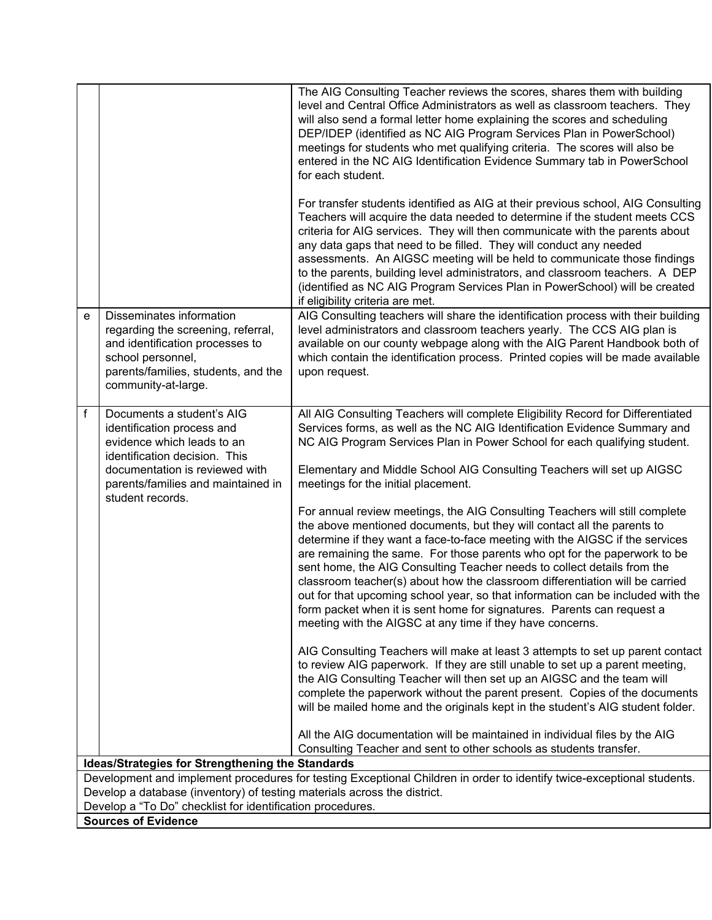|                                                                                                                                                                                                    |                                                                                                                                                                                      | The AIG Consulting Teacher reviews the scores, shares them with building<br>level and Central Office Administrators as well as classroom teachers. They<br>will also send a formal letter home explaining the scores and scheduling<br>DEP/IDEP (identified as NC AIG Program Services Plan in PowerSchool)<br>meetings for students who met qualifying criteria. The scores will also be<br>entered in the NC AIG Identification Evidence Summary tab in PowerSchool<br>for each student.                                                                                                                                                                                                               |  |  |
|----------------------------------------------------------------------------------------------------------------------------------------------------------------------------------------------------|--------------------------------------------------------------------------------------------------------------------------------------------------------------------------------------|----------------------------------------------------------------------------------------------------------------------------------------------------------------------------------------------------------------------------------------------------------------------------------------------------------------------------------------------------------------------------------------------------------------------------------------------------------------------------------------------------------------------------------------------------------------------------------------------------------------------------------------------------------------------------------------------------------|--|--|
|                                                                                                                                                                                                    |                                                                                                                                                                                      | For transfer students identified as AIG at their previous school, AIG Consulting<br>Teachers will acquire the data needed to determine if the student meets CCS<br>criteria for AIG services. They will then communicate with the parents about<br>any data gaps that need to be filled. They will conduct any needed<br>assessments. An AIGSC meeting will be held to communicate those findings<br>to the parents, building level administrators, and classroom teachers. A DEP<br>(identified as NC AIG Program Services Plan in PowerSchool) will be created<br>if eligibility criteria are met.                                                                                                     |  |  |
| e                                                                                                                                                                                                  | Disseminates information<br>regarding the screening, referral,<br>and identification processes to<br>school personnel,<br>parents/families, students, and the<br>community-at-large. | AIG Consulting teachers will share the identification process with their building<br>level administrators and classroom teachers yearly. The CCS AIG plan is<br>available on our county webpage along with the AIG Parent Handbook both of<br>which contain the identification process. Printed copies will be made available<br>upon request.                                                                                                                                                                                                                                                                                                                                                           |  |  |
| f                                                                                                                                                                                                  | Documents a student's AIG<br>identification process and<br>evidence which leads to an<br>identification decision. This                                                               | All AIG Consulting Teachers will complete Eligibility Record for Differentiated<br>Services forms, as well as the NC AIG Identification Evidence Summary and<br>NC AIG Program Services Plan in Power School for each qualifying student.                                                                                                                                                                                                                                                                                                                                                                                                                                                                |  |  |
|                                                                                                                                                                                                    | documentation is reviewed with<br>parents/families and maintained in<br>student records.                                                                                             | Elementary and Middle School AIG Consulting Teachers will set up AIGSC<br>meetings for the initial placement.                                                                                                                                                                                                                                                                                                                                                                                                                                                                                                                                                                                            |  |  |
|                                                                                                                                                                                                    |                                                                                                                                                                                      | For annual review meetings, the AIG Consulting Teachers will still complete<br>the above mentioned documents, but they will contact all the parents to<br>determine if they want a face-to-face meeting with the AIGSC if the services<br>are remaining the same. For those parents who opt for the paperwork to be<br>sent home, the AIG Consulting Teacher needs to collect details from the<br>classroom teacher(s) about how the classroom differentiation will be carried<br>out for that upcoming school year, so that information can be included with the<br>form packet when it is sent home for signatures. Parents can request a<br>meeting with the AIGSC at any time if they have concerns. |  |  |
|                                                                                                                                                                                                    |                                                                                                                                                                                      | AIG Consulting Teachers will make at least 3 attempts to set up parent contact<br>to review AIG paperwork. If they are still unable to set up a parent meeting,<br>the AIG Consulting Teacher will then set up an AIGSC and the team will<br>complete the paperwork without the parent present. Copies of the documents<br>will be mailed home and the originals kept in the student's AIG student folder.                                                                                                                                                                                                                                                                                               |  |  |
|                                                                                                                                                                                                    |                                                                                                                                                                                      | All the AIG documentation will be maintained in individual files by the AIG<br>Consulting Teacher and sent to other schools as students transfer.                                                                                                                                                                                                                                                                                                                                                                                                                                                                                                                                                        |  |  |
|                                                                                                                                                                                                    | <b>Ideas/Strategies for Strengthening the Standards</b>                                                                                                                              |                                                                                                                                                                                                                                                                                                                                                                                                                                                                                                                                                                                                                                                                                                          |  |  |
| Development and implement procedures for testing Exceptional Children in order to identify twice-exceptional students.<br>Develop a database (inventory) of testing materials across the district. |                                                                                                                                                                                      |                                                                                                                                                                                                                                                                                                                                                                                                                                                                                                                                                                                                                                                                                                          |  |  |
|                                                                                                                                                                                                    | Develop a "To Do" checklist for identification procedures.                                                                                                                           |                                                                                                                                                                                                                                                                                                                                                                                                                                                                                                                                                                                                                                                                                                          |  |  |
|                                                                                                                                                                                                    | <b>Sources of Evidence</b>                                                                                                                                                           |                                                                                                                                                                                                                                                                                                                                                                                                                                                                                                                                                                                                                                                                                                          |  |  |
|                                                                                                                                                                                                    |                                                                                                                                                                                      |                                                                                                                                                                                                                                                                                                                                                                                                                                                                                                                                                                                                                                                                                                          |  |  |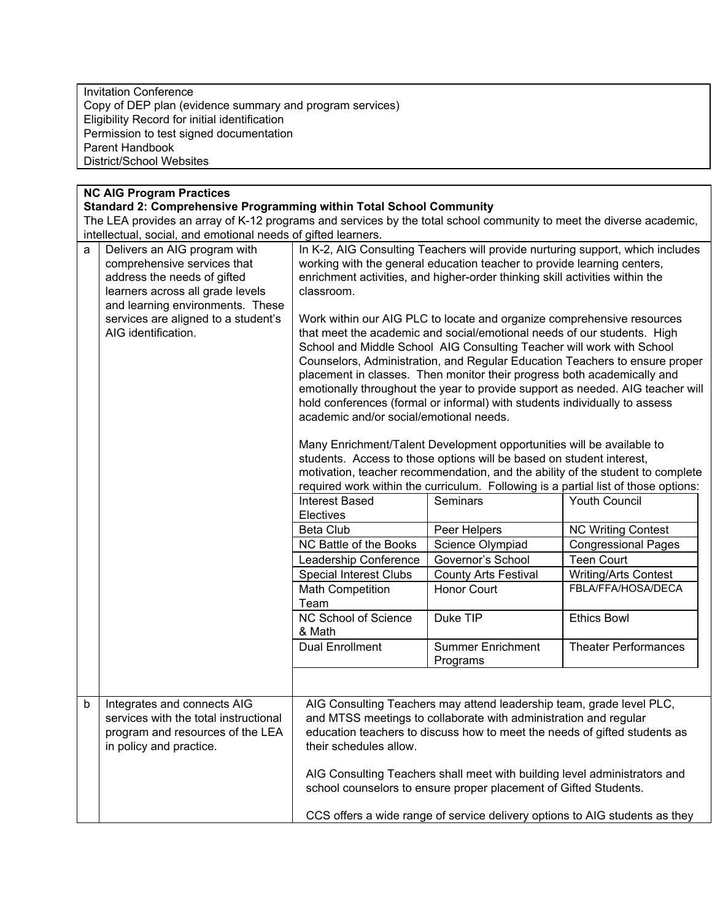Invitation Conference Copy of DEP plan (evidence summary and program services) Eligibility Record for initial identification Permission to test signed documentation Parent Handbook District/School Websites

# **NC AIG Program Practices**

# **Standard 2: Comprehensive Programming within Total School Community**

The LEA provides an array of K-12 programs and services by the total school community to meet the diverse academic, intellectual, social, and emotional needs of gifted learners.

| $\mathsf{a}$ | Delivers an AIG program with<br>comprehensive services that<br>address the needs of gifted<br>learners across all grade levels<br>and learning environments. These<br>services are aligned to a student's<br>AIG identification. | In K-2, AIG Consulting Teachers will provide nurturing support, which includes<br>working with the general education teacher to provide learning centers,<br>enrichment activities, and higher-order thinking skill activities within the<br>classroom.<br>Work within our AIG PLC to locate and organize comprehensive resources<br>that meet the academic and social/emotional needs of our students. High<br>School and Middle School AIG Consulting Teacher will work with School<br>Counselors, Administration, and Regular Education Teachers to ensure proper<br>placement in classes. Then monitor their progress both academically and<br>emotionally throughout the year to provide support as needed. AIG teacher will<br>hold conferences (formal or informal) with students individually to assess<br>academic and/or social/emotional needs.<br>Many Enrichment/Talent Development opportunities will be available to<br>students. Access to those options will be based on student interest, |                                                                                                                                                                                                                                                                                                                                                                        |                                                                                    |
|--------------|----------------------------------------------------------------------------------------------------------------------------------------------------------------------------------------------------------------------------------|-------------------------------------------------------------------------------------------------------------------------------------------------------------------------------------------------------------------------------------------------------------------------------------------------------------------------------------------------------------------------------------------------------------------------------------------------------------------------------------------------------------------------------------------------------------------------------------------------------------------------------------------------------------------------------------------------------------------------------------------------------------------------------------------------------------------------------------------------------------------------------------------------------------------------------------------------------------------------------------------------------------|------------------------------------------------------------------------------------------------------------------------------------------------------------------------------------------------------------------------------------------------------------------------------------------------------------------------------------------------------------------------|------------------------------------------------------------------------------------|
|              |                                                                                                                                                                                                                                  |                                                                                                                                                                                                                                                                                                                                                                                                                                                                                                                                                                                                                                                                                                                                                                                                                                                                                                                                                                                                             |                                                                                                                                                                                                                                                                                                                                                                        | motivation, teacher recommendation, and the ability of the student to complete     |
|              |                                                                                                                                                                                                                                  |                                                                                                                                                                                                                                                                                                                                                                                                                                                                                                                                                                                                                                                                                                                                                                                                                                                                                                                                                                                                             |                                                                                                                                                                                                                                                                                                                                                                        | required work within the curriculum. Following is a partial list of those options: |
|              |                                                                                                                                                                                                                                  | Interest Based                                                                                                                                                                                                                                                                                                                                                                                                                                                                                                                                                                                                                                                                                                                                                                                                                                                                                                                                                                                              | Seminars                                                                                                                                                                                                                                                                                                                                                               | <b>Youth Council</b>                                                               |
|              |                                                                                                                                                                                                                                  | Electives                                                                                                                                                                                                                                                                                                                                                                                                                                                                                                                                                                                                                                                                                                                                                                                                                                                                                                                                                                                                   |                                                                                                                                                                                                                                                                                                                                                                        |                                                                                    |
|              |                                                                                                                                                                                                                                  | <b>Beta Club</b>                                                                                                                                                                                                                                                                                                                                                                                                                                                                                                                                                                                                                                                                                                                                                                                                                                                                                                                                                                                            | Peer Helpers                                                                                                                                                                                                                                                                                                                                                           | <b>NC Writing Contest</b>                                                          |
|              |                                                                                                                                                                                                                                  | NC Battle of the Books                                                                                                                                                                                                                                                                                                                                                                                                                                                                                                                                                                                                                                                                                                                                                                                                                                                                                                                                                                                      | Science Olympiad                                                                                                                                                                                                                                                                                                                                                       | <b>Congressional Pages</b>                                                         |
|              |                                                                                                                                                                                                                                  | Leadership Conference                                                                                                                                                                                                                                                                                                                                                                                                                                                                                                                                                                                                                                                                                                                                                                                                                                                                                                                                                                                       | Governor's School                                                                                                                                                                                                                                                                                                                                                      | <b>Teen Court</b>                                                                  |
|              |                                                                                                                                                                                                                                  | <b>Special Interest Clubs</b>                                                                                                                                                                                                                                                                                                                                                                                                                                                                                                                                                                                                                                                                                                                                                                                                                                                                                                                                                                               | <b>County Arts Festival</b>                                                                                                                                                                                                                                                                                                                                            | <b>Writing/Arts Contest</b>                                                        |
|              |                                                                                                                                                                                                                                  | <b>Math Competition</b><br>Team                                                                                                                                                                                                                                                                                                                                                                                                                                                                                                                                                                                                                                                                                                                                                                                                                                                                                                                                                                             | <b>Honor Court</b>                                                                                                                                                                                                                                                                                                                                                     | FBLA/FFA/HOSA/DECA                                                                 |
|              |                                                                                                                                                                                                                                  | NC School of Science<br>& Math                                                                                                                                                                                                                                                                                                                                                                                                                                                                                                                                                                                                                                                                                                                                                                                                                                                                                                                                                                              | Duke TIP                                                                                                                                                                                                                                                                                                                                                               | <b>Ethics Bowl</b>                                                                 |
|              |                                                                                                                                                                                                                                  | <b>Dual Enrollment</b>                                                                                                                                                                                                                                                                                                                                                                                                                                                                                                                                                                                                                                                                                                                                                                                                                                                                                                                                                                                      | <b>Summer Enrichment</b><br>Programs                                                                                                                                                                                                                                                                                                                                   | <b>Theater Performances</b>                                                        |
|              |                                                                                                                                                                                                                                  |                                                                                                                                                                                                                                                                                                                                                                                                                                                                                                                                                                                                                                                                                                                                                                                                                                                                                                                                                                                                             |                                                                                                                                                                                                                                                                                                                                                                        |                                                                                    |
| $\mathsf b$  | Integrates and connects AIG<br>services with the total instructional<br>program and resources of the LEA<br>in policy and practice.                                                                                              | their schedules allow.                                                                                                                                                                                                                                                                                                                                                                                                                                                                                                                                                                                                                                                                                                                                                                                                                                                                                                                                                                                      | AIG Consulting Teachers may attend leadership team, grade level PLC,<br>and MTSS meetings to collaborate with administration and regular<br>education teachers to discuss how to meet the needs of gifted students as<br>AIG Consulting Teachers shall meet with building level administrators and<br>school counselors to ensure proper placement of Gifted Students. |                                                                                    |
|              |                                                                                                                                                                                                                                  |                                                                                                                                                                                                                                                                                                                                                                                                                                                                                                                                                                                                                                                                                                                                                                                                                                                                                                                                                                                                             |                                                                                                                                                                                                                                                                                                                                                                        | CCS offers a wide range of service delivery options to AIG students as they        |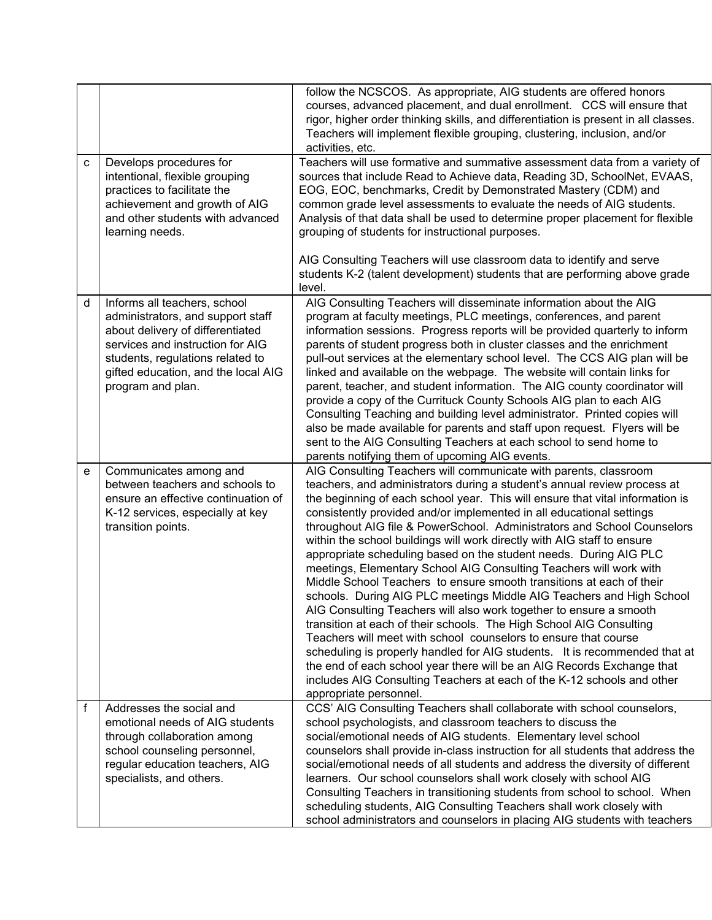| C           | Develops procedures for<br>intentional, flexible grouping<br>practices to facilitate the<br>achievement and growth of AIG                                                                                                                 | follow the NCSCOS. As appropriate, AIG students are offered honors<br>courses, advanced placement, and dual enrollment. CCS will ensure that<br>rigor, higher order thinking skills, and differentiation is present in all classes.<br>Teachers will implement flexible grouping, clustering, inclusion, and/or<br>activities, etc.<br>Teachers will use formative and summative assessment data from a variety of<br>sources that include Read to Achieve data, Reading 3D, SchoolNet, EVAAS,<br>EOG, EOC, benchmarks, Credit by Demonstrated Mastery (CDM) and<br>common grade level assessments to evaluate the needs of AIG students.                                                                                                                                                                                                                                                                                                                                                                                                                                                                                                                                                                                          |
|-------------|-------------------------------------------------------------------------------------------------------------------------------------------------------------------------------------------------------------------------------------------|------------------------------------------------------------------------------------------------------------------------------------------------------------------------------------------------------------------------------------------------------------------------------------------------------------------------------------------------------------------------------------------------------------------------------------------------------------------------------------------------------------------------------------------------------------------------------------------------------------------------------------------------------------------------------------------------------------------------------------------------------------------------------------------------------------------------------------------------------------------------------------------------------------------------------------------------------------------------------------------------------------------------------------------------------------------------------------------------------------------------------------------------------------------------------------------------------------------------------------|
|             | and other students with advanced<br>learning needs.                                                                                                                                                                                       | Analysis of that data shall be used to determine proper placement for flexible<br>grouping of students for instructional purposes.<br>AIG Consulting Teachers will use classroom data to identify and serve<br>students K-2 (talent development) students that are performing above grade<br>level.                                                                                                                                                                                                                                                                                                                                                                                                                                                                                                                                                                                                                                                                                                                                                                                                                                                                                                                                |
| d           | Informs all teachers, school<br>administrators, and support staff<br>about delivery of differentiated<br>services and instruction for AIG<br>students, regulations related to<br>gifted education, and the local AIG<br>program and plan. | AIG Consulting Teachers will disseminate information about the AIG<br>program at faculty meetings, PLC meetings, conferences, and parent<br>information sessions. Progress reports will be provided quarterly to inform<br>parents of student progress both in cluster classes and the enrichment<br>pull-out services at the elementary school level. The CCS AIG plan will be<br>linked and available on the webpage. The website will contain links for<br>parent, teacher, and student information. The AIG county coordinator will<br>provide a copy of the Currituck County Schools AIG plan to each AIG<br>Consulting Teaching and building level administrator. Printed copies will<br>also be made available for parents and staff upon request. Flyers will be<br>sent to the AIG Consulting Teachers at each school to send home to<br>parents notifying them of upcoming AIG events.                                                                                                                                                                                                                                                                                                                                   |
| e           | Communicates among and<br>between teachers and schools to<br>ensure an effective continuation of<br>K-12 services, especially at key<br>transition points.                                                                                | AIG Consulting Teachers will communicate with parents, classroom<br>teachers, and administrators during a student's annual review process at<br>the beginning of each school year. This will ensure that vital information is<br>consistently provided and/or implemented in all educational settings<br>throughout AIG file & PowerSchool. Administrators and School Counselors<br>within the school buildings will work directly with AIG staff to ensure<br>appropriate scheduling based on the student needs. During AIG PLC<br>meetings, Elementary School AIG Consulting Teachers will work with<br>Middle School Teachers to ensure smooth transitions at each of their<br>schools. During AIG PLC meetings Middle AIG Teachers and High School<br>AIG Consulting Teachers will also work together to ensure a smooth<br>transition at each of their schools. The High School AIG Consulting<br>Teachers will meet with school counselors to ensure that course<br>scheduling is properly handled for AIG students. It is recommended that at<br>the end of each school year there will be an AIG Records Exchange that<br>includes AIG Consulting Teachers at each of the K-12 schools and other<br>appropriate personnel. |
| $\mathsf f$ | Addresses the social and<br>emotional needs of AIG students<br>through collaboration among<br>school counseling personnel,<br>regular education teachers, AIG<br>specialists, and others.                                                 | CCS' AIG Consulting Teachers shall collaborate with school counselors,<br>school psychologists, and classroom teachers to discuss the<br>social/emotional needs of AIG students. Elementary level school<br>counselors shall provide in-class instruction for all students that address the<br>social/emotional needs of all students and address the diversity of different<br>learners. Our school counselors shall work closely with school AIG<br>Consulting Teachers in transitioning students from school to school. When<br>scheduling students, AIG Consulting Teachers shall work closely with<br>school administrators and counselors in placing AIG students with teachers                                                                                                                                                                                                                                                                                                                                                                                                                                                                                                                                              |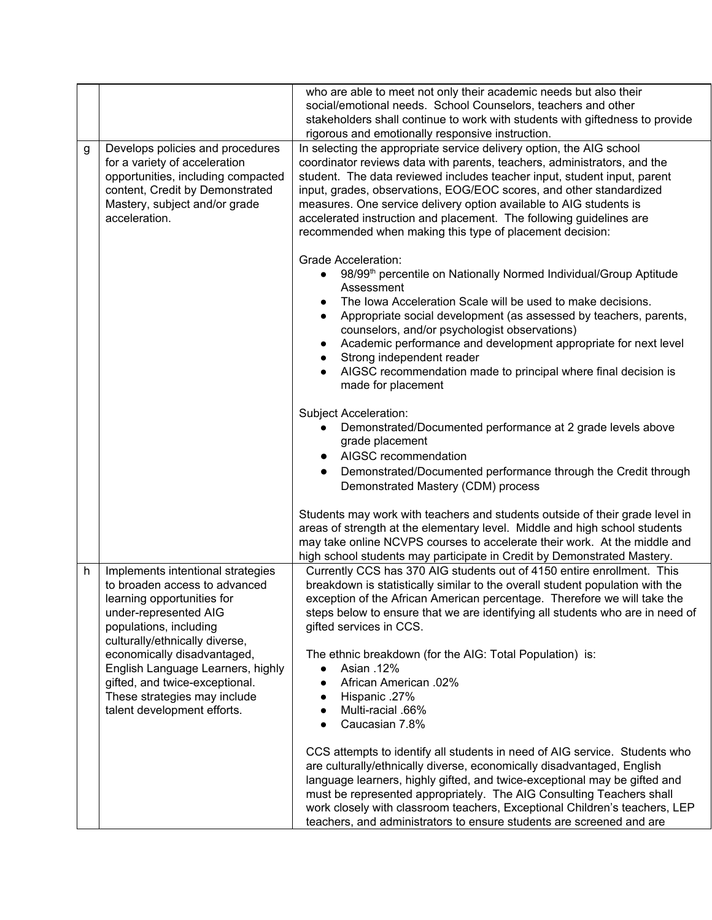|   |                                                                                                                                                                                                                      | who are able to meet not only their academic needs but also their<br>social/emotional needs. School Counselors, teachers and other<br>stakeholders shall continue to work with students with giftedness to provide<br>rigorous and emotionally responsive instruction.                                                                                                                                                                                                                                                                                                               |  |
|---|----------------------------------------------------------------------------------------------------------------------------------------------------------------------------------------------------------------------|--------------------------------------------------------------------------------------------------------------------------------------------------------------------------------------------------------------------------------------------------------------------------------------------------------------------------------------------------------------------------------------------------------------------------------------------------------------------------------------------------------------------------------------------------------------------------------------|--|
| g | Develops policies and procedures<br>for a variety of acceleration<br>opportunities, including compacted<br>content, Credit by Demonstrated<br>Mastery, subject and/or grade<br>acceleration.                         | In selecting the appropriate service delivery option, the AIG school<br>coordinator reviews data with parents, teachers, administrators, and the<br>student. The data reviewed includes teacher input, student input, parent<br>input, grades, observations, EOG/EOC scores, and other standardized<br>measures. One service delivery option available to AIG students is<br>accelerated instruction and placement. The following guidelines are<br>recommended when making this type of placement decision:                                                                         |  |
|   |                                                                                                                                                                                                                      | <b>Grade Acceleration:</b><br>98/99 <sup>th</sup> percentile on Nationally Normed Individual/Group Aptitude<br>$\bullet$<br>Assessment<br>The Iowa Acceleration Scale will be used to make decisions.<br>$\bullet$<br>Appropriate social development (as assessed by teachers, parents,<br>$\bullet$<br>counselors, and/or psychologist observations)<br>Academic performance and development appropriate for next level<br>$\bullet$<br>Strong independent reader<br>$\bullet$<br>AIGSC recommendation made to principal where final decision is<br>$\bullet$<br>made for placement |  |
|   |                                                                                                                                                                                                                      | Subject Acceleration:<br>Demonstrated/Documented performance at 2 grade levels above<br>$\bullet$<br>grade placement<br>AIGSC recommendation<br>$\bullet$<br>Demonstrated/Documented performance through the Credit through<br>$\bullet$<br>Demonstrated Mastery (CDM) process                                                                                                                                                                                                                                                                                                       |  |
|   |                                                                                                                                                                                                                      | Students may work with teachers and students outside of their grade level in<br>areas of strength at the elementary level. Middle and high school students<br>may take online NCVPS courses to accelerate their work. At the middle and<br>high school students may participate in Credit by Demonstrated Mastery.                                                                                                                                                                                                                                                                   |  |
| h | Implements intentional strategies<br>to broaden access to advanced<br>learning opportunities for<br>under-represented AIG<br>populations, including<br>culturally/ethnically diverse,<br>economically disadvantaged, | Currently CCS has 370 AIG students out of 4150 entire enrollment. This<br>breakdown is statistically similar to the overall student population with the<br>exception of the African American percentage. Therefore we will take the<br>steps below to ensure that we are identifying all students who are in need of<br>gifted services in CCS.<br>The ethnic breakdown (for the AIG: Total Population) is:                                                                                                                                                                          |  |
|   | English Language Learners, highly<br>gifted, and twice-exceptional.<br>These strategies may include<br>talent development efforts.                                                                                   | Asian .12%<br>$\bullet$<br>African American .02%<br>Hispanic .27%<br>Multi-racial .66%<br>Caucasian 7.8%                                                                                                                                                                                                                                                                                                                                                                                                                                                                             |  |
|   |                                                                                                                                                                                                                      | CCS attempts to identify all students in need of AIG service. Students who<br>are culturally/ethnically diverse, economically disadvantaged, English<br>language learners, highly gifted, and twice-exceptional may be gifted and<br>must be represented appropriately. The AIG Consulting Teachers shall<br>work closely with classroom teachers, Exceptional Children's teachers, LEP<br>teachers, and administrators to ensure students are screened and are                                                                                                                      |  |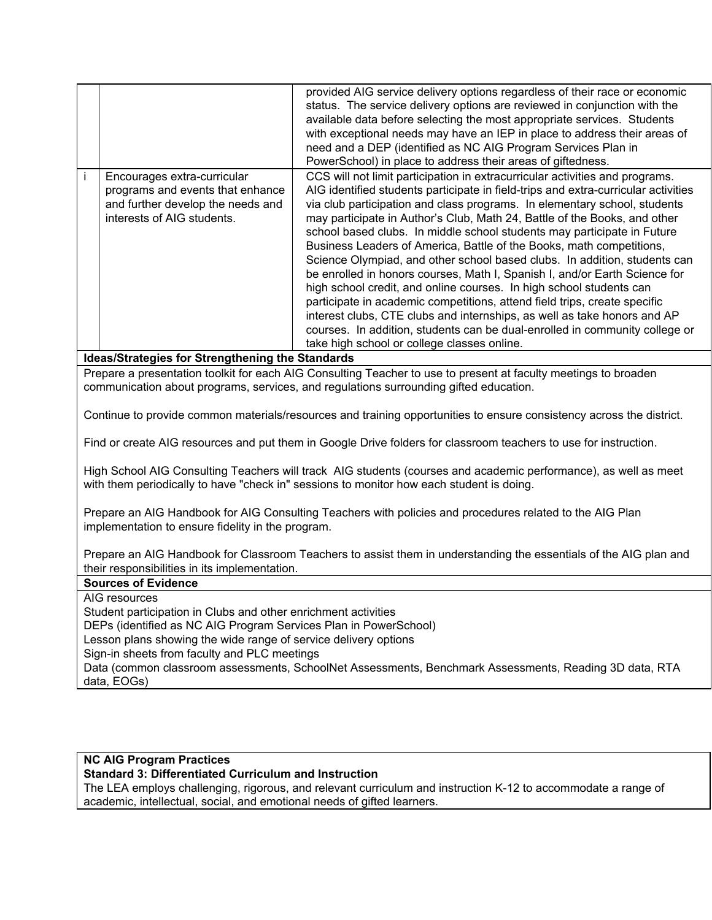|                                                                                                                                                                    |                                                                                                                                                                                                             | provided AIG service delivery options regardless of their race or economic<br>status. The service delivery options are reviewed in conjunction with the<br>available data before selecting the most appropriate services. Students<br>with exceptional needs may have an IEP in place to address their areas of<br>need and a DEP (identified as NC AIG Program Services Plan in<br>PowerSchool) in place to address their areas of giftedness.                                                                                                                                                                                                                                                                                                                                            |  |  |  |
|--------------------------------------------------------------------------------------------------------------------------------------------------------------------|-------------------------------------------------------------------------------------------------------------------------------------------------------------------------------------------------------------|--------------------------------------------------------------------------------------------------------------------------------------------------------------------------------------------------------------------------------------------------------------------------------------------------------------------------------------------------------------------------------------------------------------------------------------------------------------------------------------------------------------------------------------------------------------------------------------------------------------------------------------------------------------------------------------------------------------------------------------------------------------------------------------------|--|--|--|
| $\mathbf{i}$                                                                                                                                                       | Encourages extra-curricular                                                                                                                                                                                 | CCS will not limit participation in extracurricular activities and programs.                                                                                                                                                                                                                                                                                                                                                                                                                                                                                                                                                                                                                                                                                                               |  |  |  |
|                                                                                                                                                                    | programs and events that enhance<br>and further develop the needs and<br>interests of AIG students.                                                                                                         | AIG identified students participate in field-trips and extra-curricular activities<br>via club participation and class programs. In elementary school, students<br>may participate in Author's Club, Math 24, Battle of the Books, and other<br>school based clubs. In middle school students may participate in Future<br>Business Leaders of America, Battle of the Books, math competitions,<br>Science Olympiad, and other school based clubs. In addition, students can<br>be enrolled in honors courses, Math I, Spanish I, and/or Earth Science for<br>high school credit, and online courses. In high school students can<br>participate in academic competitions, attend field trips, create specific<br>interest clubs, CTE clubs and internships, as well as take honors and AP |  |  |  |
|                                                                                                                                                                    |                                                                                                                                                                                                             | courses. In addition, students can be dual-enrolled in community college or                                                                                                                                                                                                                                                                                                                                                                                                                                                                                                                                                                                                                                                                                                                |  |  |  |
|                                                                                                                                                                    |                                                                                                                                                                                                             | take high school or college classes online.                                                                                                                                                                                                                                                                                                                                                                                                                                                                                                                                                                                                                                                                                                                                                |  |  |  |
|                                                                                                                                                                    | Ideas/Strategies for Strengthening the Standards                                                                                                                                                            |                                                                                                                                                                                                                                                                                                                                                                                                                                                                                                                                                                                                                                                                                                                                                                                            |  |  |  |
|                                                                                                                                                                    |                                                                                                                                                                                                             | Prepare a presentation toolkit for each AIG Consulting Teacher to use to present at faculty meetings to broaden<br>communication about programs, services, and regulations surrounding gifted education.                                                                                                                                                                                                                                                                                                                                                                                                                                                                                                                                                                                   |  |  |  |
|                                                                                                                                                                    |                                                                                                                                                                                                             | Continue to provide common materials/resources and training opportunities to ensure consistency across the district.                                                                                                                                                                                                                                                                                                                                                                                                                                                                                                                                                                                                                                                                       |  |  |  |
|                                                                                                                                                                    | Find or create AIG resources and put them in Google Drive folders for classroom teachers to use for instruction.                                                                                            |                                                                                                                                                                                                                                                                                                                                                                                                                                                                                                                                                                                                                                                                                                                                                                                            |  |  |  |
|                                                                                                                                                                    | High School AIG Consulting Teachers will track AIG students (courses and academic performance), as well as meet<br>with them periodically to have "check in" sessions to monitor how each student is doing. |                                                                                                                                                                                                                                                                                                                                                                                                                                                                                                                                                                                                                                                                                                                                                                                            |  |  |  |
|                                                                                                                                                                    |                                                                                                                                                                                                             | Prepare an AIG Handbook for AIG Consulting Teachers with policies and procedures related to the AIG Plan                                                                                                                                                                                                                                                                                                                                                                                                                                                                                                                                                                                                                                                                                   |  |  |  |
|                                                                                                                                                                    | implementation to ensure fidelity in the program.                                                                                                                                                           |                                                                                                                                                                                                                                                                                                                                                                                                                                                                                                                                                                                                                                                                                                                                                                                            |  |  |  |
| Prepare an AIG Handbook for Classroom Teachers to assist them in understanding the essentials of the AIG plan and<br>their responsibilities in its implementation. |                                                                                                                                                                                                             |                                                                                                                                                                                                                                                                                                                                                                                                                                                                                                                                                                                                                                                                                                                                                                                            |  |  |  |
| <b>Sources of Evidence</b>                                                                                                                                         |                                                                                                                                                                                                             |                                                                                                                                                                                                                                                                                                                                                                                                                                                                                                                                                                                                                                                                                                                                                                                            |  |  |  |
|                                                                                                                                                                    | AIG resources                                                                                                                                                                                               |                                                                                                                                                                                                                                                                                                                                                                                                                                                                                                                                                                                                                                                                                                                                                                                            |  |  |  |
|                                                                                                                                                                    | Student participation in Clubs and other enrichment activities                                                                                                                                              |                                                                                                                                                                                                                                                                                                                                                                                                                                                                                                                                                                                                                                                                                                                                                                                            |  |  |  |
|                                                                                                                                                                    | DEPs (identified as NC AIG Program Services Plan in PowerSchool)<br>Lesson plans showing the wide range of service delivery options                                                                         |                                                                                                                                                                                                                                                                                                                                                                                                                                                                                                                                                                                                                                                                                                                                                                                            |  |  |  |
|                                                                                                                                                                    | Sign-in sheets from faculty and PLC meetings                                                                                                                                                                |                                                                                                                                                                                                                                                                                                                                                                                                                                                                                                                                                                                                                                                                                                                                                                                            |  |  |  |
|                                                                                                                                                                    | Data (common classroom assessments, SchoolNet Assessments, Benchmark Assessments, Reading 3D data, RTA                                                                                                      |                                                                                                                                                                                                                                                                                                                                                                                                                                                                                                                                                                                                                                                                                                                                                                                            |  |  |  |
|                                                                                                                                                                    | data, EOGs)                                                                                                                                                                                                 |                                                                                                                                                                                                                                                                                                                                                                                                                                                                                                                                                                                                                                                                                                                                                                                            |  |  |  |

### **NC AIG Program Practices**

**Standard 3: Differentiated Curriculum and Instruction**

The LEA employs challenging, rigorous, and relevant curriculum and instruction K-12 to accommodate a range of academic, intellectual, social, and emotional needs of gifted learners.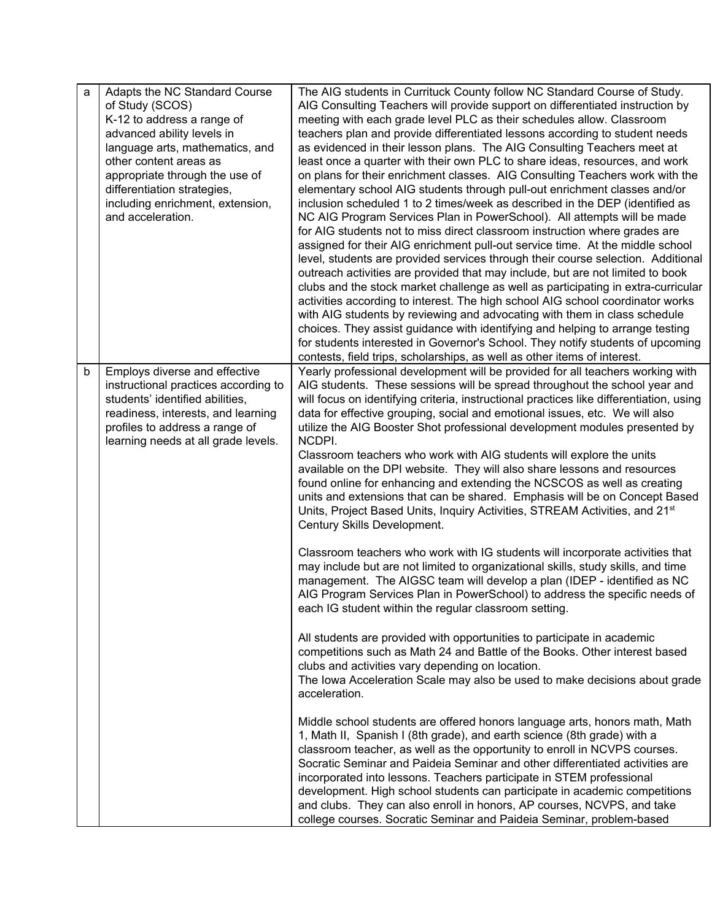| a | Adapts the NC Standard Course<br>of Study (SCOS)<br>K-12 to address a range of<br>advanced ability levels in<br>language arts, mathematics, and<br>other content areas as<br>appropriate through the use of<br>differentiation strategies,<br>including enrichment, extension,<br>and acceleration. | The AIG students in Currituck County follow NC Standard Course of Study.<br>AIG Consulting Teachers will provide support on differentiated instruction by<br>meeting with each grade level PLC as their schedules allow. Classroom<br>teachers plan and provide differentiated lessons according to student needs<br>as evidenced in their lesson plans. The AIG Consulting Teachers meet at<br>least once a quarter with their own PLC to share ideas, resources, and work<br>on plans for their enrichment classes. AIG Consulting Teachers work with the<br>elementary school AIG students through pull-out enrichment classes and/or<br>inclusion scheduled 1 to 2 times/week as described in the DEP (identified as<br>NC AIG Program Services Plan in PowerSchool). All attempts will be made<br>for AIG students not to miss direct classroom instruction where grades are<br>assigned for their AIG enrichment pull-out service time. At the middle school<br>level, students are provided services through their course selection. Additional<br>outreach activities are provided that may include, but are not limited to book<br>clubs and the stock market challenge as well as participating in extra-curricular<br>activities according to interest. The high school AIG school coordinator works<br>with AIG students by reviewing and advocating with them in class schedule<br>choices. They assist guidance with identifying and helping to arrange testing<br>for students interested in Governor's School. They notify students of upcoming<br>contests, field trips, scholarships, as well as other items of interest. |
|---|-----------------------------------------------------------------------------------------------------------------------------------------------------------------------------------------------------------------------------------------------------------------------------------------------------|---------------------------------------------------------------------------------------------------------------------------------------------------------------------------------------------------------------------------------------------------------------------------------------------------------------------------------------------------------------------------------------------------------------------------------------------------------------------------------------------------------------------------------------------------------------------------------------------------------------------------------------------------------------------------------------------------------------------------------------------------------------------------------------------------------------------------------------------------------------------------------------------------------------------------------------------------------------------------------------------------------------------------------------------------------------------------------------------------------------------------------------------------------------------------------------------------------------------------------------------------------------------------------------------------------------------------------------------------------------------------------------------------------------------------------------------------------------------------------------------------------------------------------------------------------------------------------------------------------------------------------------------|
| b | Employs diverse and effective<br>instructional practices according to<br>students' identified abilities,<br>readiness, interests, and learning<br>profiles to address a range of<br>learning needs at all grade levels.                                                                             | Yearly professional development will be provided for all teachers working with<br>AIG students. These sessions will be spread throughout the school year and<br>will focus on identifying criteria, instructional practices like differentiation, using<br>data for effective grouping, social and emotional issues, etc. We will also<br>utilize the AIG Booster Shot professional development modules presented by<br>NCDPI.<br>Classroom teachers who work with AIG students will explore the units<br>available on the DPI website. They will also share lessons and resources<br>found online for enhancing and extending the NCSCOS as well as creating<br>units and extensions that can be shared. Emphasis will be on Concept Based<br>Units, Project Based Units, Inquiry Activities, STREAM Activities, and 21 <sup>st</sup><br>Century Skills Development.                                                                                                                                                                                                                                                                                                                                                                                                                                                                                                                                                                                                                                                                                                                                                                       |
|   |                                                                                                                                                                                                                                                                                                     | Classroom teachers who work with IG students will incorporate activities that<br>may include but are not limited to organizational skills, study skills, and time<br>management. The AIGSC team will develop a plan (IDEP - identified as NC<br>AIG Program Services Plan in PowerSchool) to address the specific needs of<br>each IG student within the regular classroom setting.                                                                                                                                                                                                                                                                                                                                                                                                                                                                                                                                                                                                                                                                                                                                                                                                                                                                                                                                                                                                                                                                                                                                                                                                                                                         |
|   |                                                                                                                                                                                                                                                                                                     | All students are provided with opportunities to participate in academic<br>competitions such as Math 24 and Battle of the Books. Other interest based<br>clubs and activities vary depending on location.<br>The Iowa Acceleration Scale may also be used to make decisions about grade<br>acceleration.                                                                                                                                                                                                                                                                                                                                                                                                                                                                                                                                                                                                                                                                                                                                                                                                                                                                                                                                                                                                                                                                                                                                                                                                                                                                                                                                    |
|   |                                                                                                                                                                                                                                                                                                     | Middle school students are offered honors language arts, honors math, Math<br>1, Math II, Spanish I (8th grade), and earth science (8th grade) with a<br>classroom teacher, as well as the opportunity to enroll in NCVPS courses.<br>Socratic Seminar and Paideia Seminar and other differentiated activities are<br>incorporated into lessons. Teachers participate in STEM professional<br>development. High school students can participate in academic competitions<br>and clubs. They can also enroll in honors, AP courses, NCVPS, and take<br>college courses. Socratic Seminar and Paideia Seminar, problem-based                                                                                                                                                                                                                                                                                                                                                                                                                                                                                                                                                                                                                                                                                                                                                                                                                                                                                                                                                                                                                  |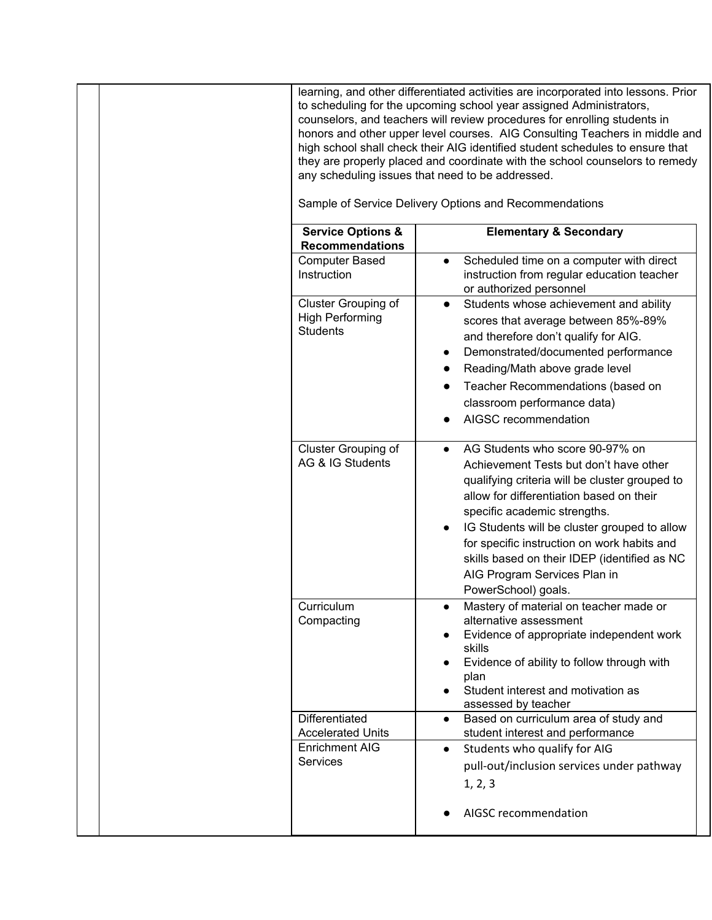|                                                                                        | learning, and other differentiated activities are incorporated into lessons. Prior<br>to scheduling for the upcoming school year assigned Administrators,<br>counselors, and teachers will review procedures for enrolling students in<br>honors and other upper level courses. AIG Consulting Teachers in middle and<br>high school shall check their AIG identified student schedules to ensure that<br>they are properly placed and coordinate with the school counselors to remedy<br>any scheduling issues that need to be addressed.<br>Sample of Service Delivery Options and Recommendations |
|----------------------------------------------------------------------------------------|------------------------------------------------------------------------------------------------------------------------------------------------------------------------------------------------------------------------------------------------------------------------------------------------------------------------------------------------------------------------------------------------------------------------------------------------------------------------------------------------------------------------------------------------------------------------------------------------------|
| <b>Service Options &amp;</b><br><b>Recommendations</b>                                 | <b>Elementary &amp; Secondary</b>                                                                                                                                                                                                                                                                                                                                                                                                                                                                                                                                                                    |
| <b>Computer Based</b><br>Instruction                                                   | Scheduled time on a computer with direct<br>$\bullet$<br>instruction from regular education teacher                                                                                                                                                                                                                                                                                                                                                                                                                                                                                                  |
| Cluster Grouping of<br><b>High Performing</b><br><b>Students</b>                       | or authorized personnel<br>Students whose achievement and ability<br>$\bullet$<br>scores that average between 85%-89%<br>and therefore don't qualify for AIG.<br>Demonstrated/documented performance<br>Reading/Math above grade level<br>Teacher Recommendations (based on<br>classroom performance data)<br>AIGSC recommendation                                                                                                                                                                                                                                                                   |
| Cluster Grouping of<br>AG & IG Students                                                | AG Students who score 90-97% on<br>Achievement Tests but don't have other<br>qualifying criteria will be cluster grouped to<br>allow for differentiation based on their<br>specific academic strengths.<br>IG Students will be cluster grouped to allow<br>for specific instruction on work habits and<br>skills based on their IDEP (identified as NC<br>AIG Program Services Plan in<br>PowerSchool) goals.                                                                                                                                                                                        |
| Curriculum<br>Compacting                                                               | Mastery of material on teacher made or<br>alternative assessment<br>Evidence of appropriate independent work<br>skills<br>Evidence of ability to follow through with<br>plan<br>Student interest and motivation as<br>assessed by teacher                                                                                                                                                                                                                                                                                                                                                            |
| Differentiated<br><b>Accelerated Units</b><br><b>Enrichment AIG</b><br><b>Services</b> | Based on curriculum area of study and<br>$\bullet$<br>student interest and performance<br>Students who qualify for AIG<br>$\bullet$<br>pull-out/inclusion services under pathway<br>1, 2, 3<br>AIGSC recommendation                                                                                                                                                                                                                                                                                                                                                                                  |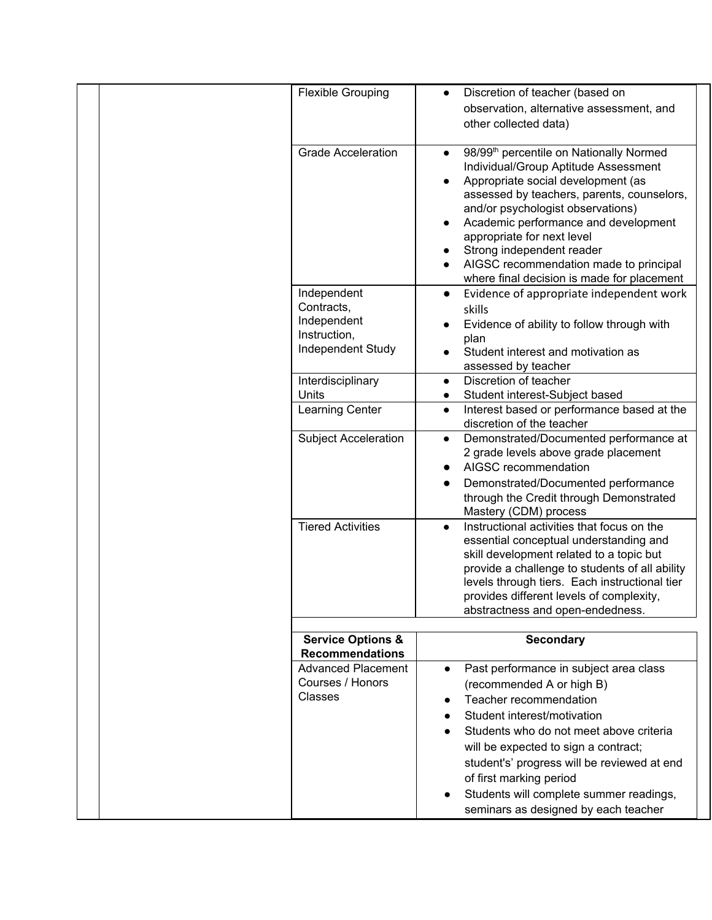| <b>Flexible Grouping</b>                                                      | Discretion of teacher (based on<br>$\bullet$<br>observation, alternative assessment, and<br>other collected data)                                                                                                                                                                                                                                                                                                                                                                |
|-------------------------------------------------------------------------------|----------------------------------------------------------------------------------------------------------------------------------------------------------------------------------------------------------------------------------------------------------------------------------------------------------------------------------------------------------------------------------------------------------------------------------------------------------------------------------|
| <b>Grade Acceleration</b>                                                     | 98/99 <sup>th</sup> percentile on Nationally Normed<br>$\bullet$<br>Individual/Group Aptitude Assessment<br>Appropriate social development (as<br>$\bullet$<br>assessed by teachers, parents, counselors,<br>and/or psychologist observations)<br>Academic performance and development<br>$\bullet$<br>appropriate for next level<br>Strong independent reader<br>$\bullet$<br>AIGSC recommendation made to principal<br>$\bullet$<br>where final decision is made for placement |
| Independent<br>Contracts,<br>Independent<br>Instruction,<br>Independent Study | Evidence of appropriate independent work<br>$\bullet$<br>skills<br>Evidence of ability to follow through with<br>plan<br>Student interest and motivation as<br>assessed by teacher                                                                                                                                                                                                                                                                                               |
| Interdisciplinary                                                             | Discretion of teacher<br>$\bullet$                                                                                                                                                                                                                                                                                                                                                                                                                                               |
| Units<br>Learning Center                                                      | Student interest-Subject based<br>$\bullet$<br>Interest based or performance based at the<br>$\bullet$<br>discretion of the teacher                                                                                                                                                                                                                                                                                                                                              |
| <b>Subject Acceleration</b>                                                   | Demonstrated/Documented performance at<br>$\bullet$<br>2 grade levels above grade placement<br>AIGSC recommendation<br>Demonstrated/Documented performance<br>through the Credit through Demonstrated<br>Mastery (CDM) process                                                                                                                                                                                                                                                   |
| <b>Tiered Activities</b>                                                      | Instructional activities that focus on the<br>$\bullet$<br>essential conceptual understanding and<br>skill development related to a topic but<br>provide a challenge to students of all ability<br>levels through tiers. Each instructional tier<br>provides different levels of complexity,<br>abstractness and open-endedness.                                                                                                                                                 |
|                                                                               |                                                                                                                                                                                                                                                                                                                                                                                                                                                                                  |
| <b>Service Options &amp;</b><br><b>Recommendations</b>                        | <b>Secondary</b>                                                                                                                                                                                                                                                                                                                                                                                                                                                                 |
| <b>Advanced Placement</b><br>Courses / Honors<br><b>Classes</b>               | Past performance in subject area class<br>$\bullet$<br>(recommended A or high B)<br>Teacher recommendation<br>$\bullet$<br>Student interest/motivation<br>Students who do not meet above criteria<br>will be expected to sign a contract;<br>student's' progress will be reviewed at end<br>of first marking period<br>Students will complete summer readings,<br>$\bullet$<br>seminars as designed by each teacher                                                              |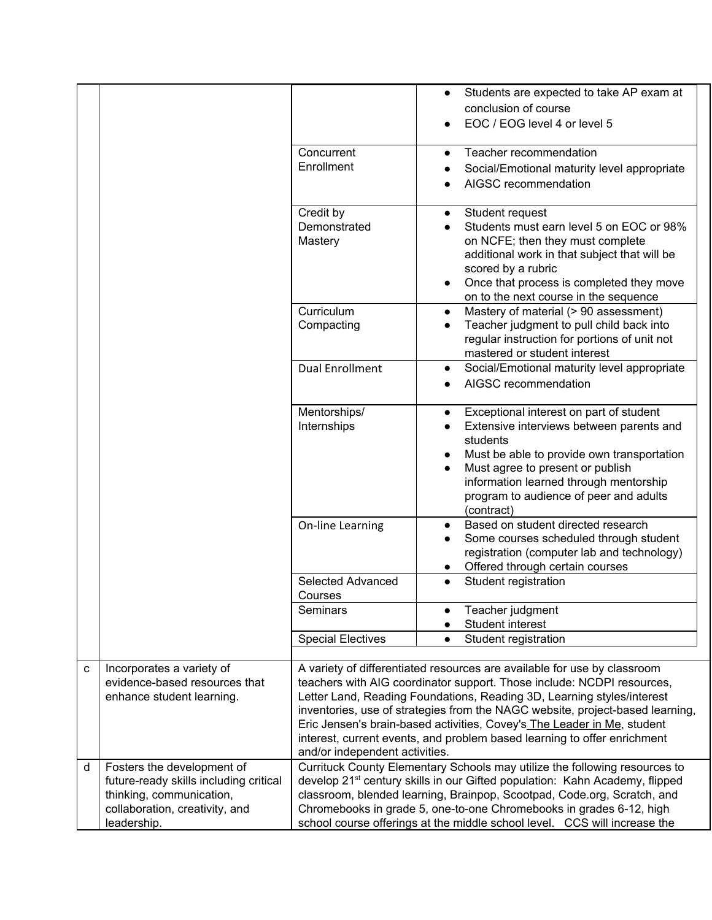|   |                                        |                                                                         | Students are expected to take AP exam at<br>$\bullet$                                     |  |
|---|----------------------------------------|-------------------------------------------------------------------------|-------------------------------------------------------------------------------------------|--|
|   |                                        |                                                                         | conclusion of course                                                                      |  |
|   |                                        |                                                                         | EOC / EOG level 4 or level 5                                                              |  |
|   |                                        | Concurrent                                                              | Teacher recommendation<br>$\bullet$                                                       |  |
|   |                                        | Enrollment                                                              | Social/Emotional maturity level appropriate                                               |  |
|   |                                        |                                                                         | AIGSC recommendation                                                                      |  |
|   |                                        |                                                                         |                                                                                           |  |
|   |                                        | Credit by                                                               | Student request<br>$\bullet$                                                              |  |
|   |                                        | Demonstrated                                                            | Students must earn level 5 on EOC or 98%<br>$\bullet$                                     |  |
|   |                                        | Mastery                                                                 | on NCFE; then they must complete                                                          |  |
|   |                                        |                                                                         | additional work in that subject that will be                                              |  |
|   |                                        |                                                                         | scored by a rubric                                                                        |  |
|   |                                        |                                                                         | Once that process is completed they move<br>$\bullet$                                     |  |
|   |                                        |                                                                         | on to the next course in the sequence                                                     |  |
|   |                                        | Curriculum                                                              | Mastery of material (> 90 assessment)<br>$\bullet$                                        |  |
|   |                                        | Compacting                                                              | Teacher judgment to pull child back into<br>$\bullet$                                     |  |
|   |                                        |                                                                         | regular instruction for portions of unit not<br>mastered or student interest              |  |
|   |                                        | <b>Dual Enrollment</b>                                                  | Social/Emotional maturity level appropriate                                               |  |
|   |                                        |                                                                         | $\bullet$<br>AIGSC recommendation                                                         |  |
|   |                                        |                                                                         | $\bullet$                                                                                 |  |
|   |                                        | Mentorships/                                                            | Exceptional interest on part of student<br>$\bullet$                                      |  |
|   |                                        | Internships                                                             | Extensive interviews between parents and<br>$\bullet$                                     |  |
|   |                                        |                                                                         | students                                                                                  |  |
|   |                                        |                                                                         | Must be able to provide own transportation<br>$\bullet$                                   |  |
|   |                                        |                                                                         | Must agree to present or publish<br>$\bullet$                                             |  |
|   |                                        |                                                                         | information learned through mentorship                                                    |  |
|   |                                        |                                                                         | program to audience of peer and adults                                                    |  |
|   |                                        |                                                                         | (contract)                                                                                |  |
|   |                                        | On-line Learning                                                        | Based on student directed research<br>$\bullet$<br>Some courses scheduled through student |  |
|   |                                        |                                                                         | $\bullet$<br>registration (computer lab and technology)                                   |  |
|   |                                        |                                                                         | Offered through certain courses<br>$\bullet$                                              |  |
|   |                                        | Selected Advanced                                                       | Student registration<br>$\bullet$                                                         |  |
|   |                                        | Courses                                                                 |                                                                                           |  |
|   |                                        | Seminars                                                                | Teacher judgment<br>$\bullet$                                                             |  |
|   |                                        |                                                                         | Student interest<br>$\bullet$                                                             |  |
|   |                                        | <b>Special Electives</b>                                                | Student registration<br>$\bullet$                                                         |  |
| C | Incorporates a variety of              |                                                                         | A variety of differentiated resources are available for use by classroom                  |  |
|   | evidence-based resources that          |                                                                         | teachers with AIG coordinator support. Those include: NCDPI resources,                    |  |
|   | enhance student learning.              |                                                                         | Letter Land, Reading Foundations, Reading 3D, Learning styles/interest                    |  |
|   |                                        |                                                                         | inventories, use of strategies from the NAGC website, project-based learning,             |  |
|   |                                        |                                                                         | Eric Jensen's brain-based activities, Covey's The Leader in Me, student                   |  |
|   |                                        |                                                                         | interest, current events, and problem based learning to offer enrichment                  |  |
|   |                                        | and/or independent activities.                                          |                                                                                           |  |
| d | Fosters the development of             |                                                                         | Currituck County Elementary Schools may utilize the following resources to                |  |
|   | future-ready skills including critical |                                                                         | develop 21 <sup>st</sup> century skills in our Gifted population: Kahn Academy, flipped   |  |
|   | thinking, communication,               | classroom, blended learning, Brainpop, Scootpad, Code.org, Scratch, and |                                                                                           |  |
|   | collaboration, creativity, and         |                                                                         | Chromebooks in grade 5, one-to-one Chromebooks in grades 6-12, high                       |  |
|   | leadership.                            |                                                                         | school course offerings at the middle school level. CCS will increase the                 |  |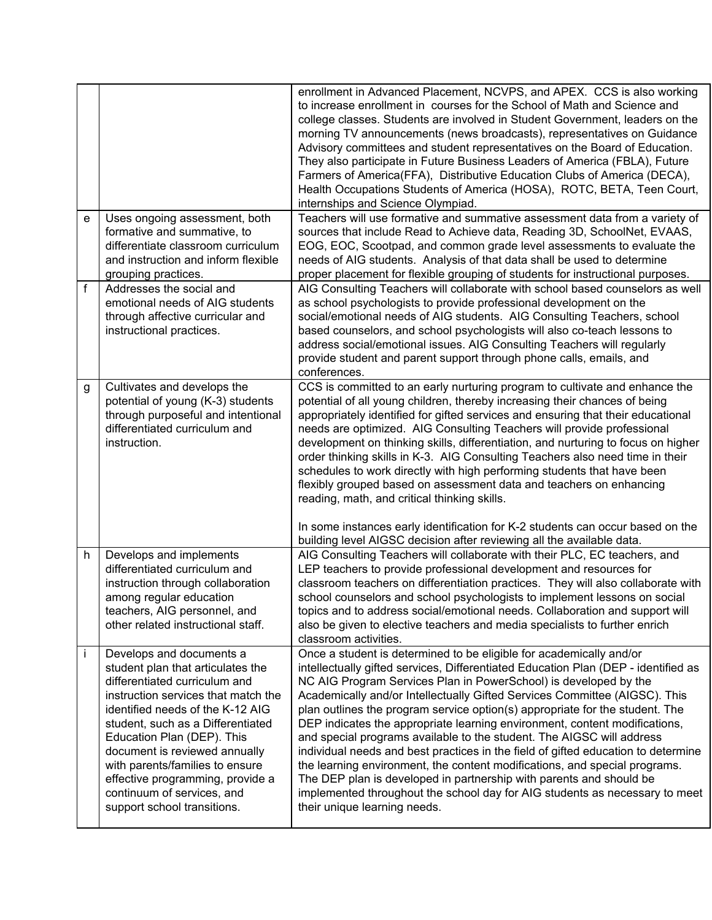|   |                                                                                                                                                                                                                                                                                                                                                                                                                   | enrollment in Advanced Placement, NCVPS, and APEX. CCS is also working<br>to increase enrollment in courses for the School of Math and Science and<br>college classes. Students are involved in Student Government, leaders on the<br>morning TV announcements (news broadcasts), representatives on Guidance<br>Advisory committees and student representatives on the Board of Education.<br>They also participate in Future Business Leaders of America (FBLA), Future<br>Farmers of America(FFA), Distributive Education Clubs of America (DECA),<br>Health Occupations Students of America (HOSA), ROTC, BETA, Teen Court,<br>internships and Science Olympiad.                                                                                                                                                                                                                                        |
|---|-------------------------------------------------------------------------------------------------------------------------------------------------------------------------------------------------------------------------------------------------------------------------------------------------------------------------------------------------------------------------------------------------------------------|-------------------------------------------------------------------------------------------------------------------------------------------------------------------------------------------------------------------------------------------------------------------------------------------------------------------------------------------------------------------------------------------------------------------------------------------------------------------------------------------------------------------------------------------------------------------------------------------------------------------------------------------------------------------------------------------------------------------------------------------------------------------------------------------------------------------------------------------------------------------------------------------------------------|
| e | Uses ongoing assessment, both<br>formative and summative, to<br>differentiate classroom curriculum<br>and instruction and inform flexible<br>grouping practices.                                                                                                                                                                                                                                                  | Teachers will use formative and summative assessment data from a variety of<br>sources that include Read to Achieve data, Reading 3D, SchoolNet, EVAAS,<br>EOG, EOC, Scootpad, and common grade level assessments to evaluate the<br>needs of AIG students. Analysis of that data shall be used to determine<br>proper placement for flexible grouping of students for instructional purposes.                                                                                                                                                                                                                                                                                                                                                                                                                                                                                                              |
| f | Addresses the social and<br>emotional needs of AIG students<br>through affective curricular and<br>instructional practices.                                                                                                                                                                                                                                                                                       | AIG Consulting Teachers will collaborate with school based counselors as well<br>as school psychologists to provide professional development on the<br>social/emotional needs of AIG students. AIG Consulting Teachers, school<br>based counselors, and school psychologists will also co-teach lessons to<br>address social/emotional issues. AIG Consulting Teachers will regularly<br>provide student and parent support through phone calls, emails, and<br>conferences.                                                                                                                                                                                                                                                                                                                                                                                                                                |
| g | Cultivates and develops the<br>potential of young (K-3) students<br>through purposeful and intentional<br>differentiated curriculum and<br>instruction.                                                                                                                                                                                                                                                           | CCS is committed to an early nurturing program to cultivate and enhance the<br>potential of all young children, thereby increasing their chances of being<br>appropriately identified for gifted services and ensuring that their educational<br>needs are optimized. AIG Consulting Teachers will provide professional<br>development on thinking skills, differentiation, and nurturing to focus on higher<br>order thinking skills in K-3. AIG Consulting Teachers also need time in their<br>schedules to work directly with high performing students that have been<br>flexibly grouped based on assessment data and teachers on enhancing<br>reading, math, and critical thinking skills.<br>In some instances early identification for K-2 students can occur based on the                                                                                                                           |
| h | Develops and implements<br>differentiated curriculum and<br>instruction through collaboration<br>among regular education<br>teachers, AIG personnel, and<br>other related instructional staff.                                                                                                                                                                                                                    | building level AIGSC decision after reviewing all the available data.<br>AIG Consulting Teachers will collaborate with their PLC, EC teachers, and<br>LEP teachers to provide professional development and resources for<br>classroom teachers on differentiation practices. They will also collaborate with<br>school counselors and school psychologists to implement lessons on social<br>topics and to address social/emotional needs. Collaboration and support will<br>also be given to elective teachers and media specialists to further enrich<br>classroom activities.                                                                                                                                                                                                                                                                                                                            |
| İ | Develops and documents a<br>student plan that articulates the<br>differentiated curriculum and<br>instruction services that match the<br>identified needs of the K-12 AIG<br>student, such as a Differentiated<br>Education Plan (DEP). This<br>document is reviewed annually<br>with parents/families to ensure<br>effective programming, provide a<br>continuum of services, and<br>support school transitions. | Once a student is determined to be eligible for academically and/or<br>intellectually gifted services, Differentiated Education Plan (DEP - identified as<br>NC AIG Program Services Plan in PowerSchool) is developed by the<br>Academically and/or Intellectually Gifted Services Committee (AIGSC). This<br>plan outlines the program service option(s) appropriate for the student. The<br>DEP indicates the appropriate learning environment, content modifications,<br>and special programs available to the student. The AIGSC will address<br>individual needs and best practices in the field of gifted education to determine<br>the learning environment, the content modifications, and special programs.<br>The DEP plan is developed in partnership with parents and should be<br>implemented throughout the school day for AIG students as necessary to meet<br>their unique learning needs. |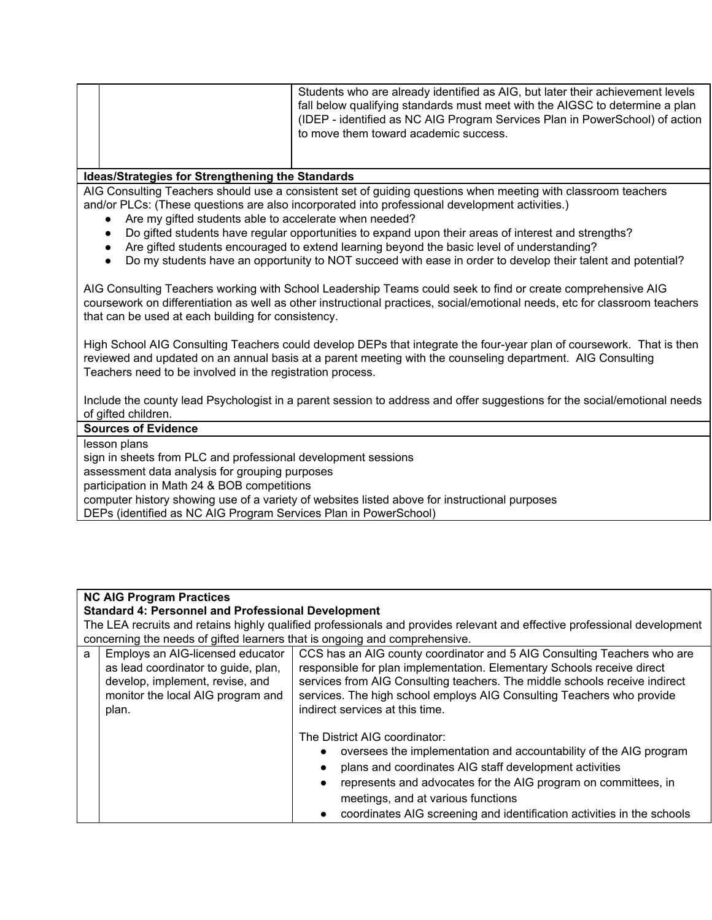|  | Students who are already identified as AIG, but later their achievement levels<br>fall below qualifying standards must meet with the AIGSC to determine a plan |
|--|----------------------------------------------------------------------------------------------------------------------------------------------------------------|
|  |                                                                                                                                                                |
|  | (IDEP - identified as NC AIG Program Services Plan in PowerSchool) of action                                                                                   |
|  | to move them toward academic success.                                                                                                                          |
|  |                                                                                                                                                                |

#### **Ideas/Strategies for Strengthening the Standards**

AIG Consulting Teachers should use a consistent set of guiding questions when meeting with classroom teachers and/or PLCs: (These questions are also incorporated into professional development activities.)

- Are my gifted students able to accelerate when needed?
- Do gifted students have regular opportunities to expand upon their areas of interest and strengths?
- Are gifted students encouraged to extend learning beyond the basic level of understanding?
- Do my students have an opportunity to NOT succeed with ease in order to develop their talent and potential?

AIG Consulting Teachers working with School Leadership Teams could seek to find or create comprehensive AIG coursework on differentiation as well as other instructional practices, social/emotional needs, etc for classroom teachers that can be used at each building for consistency.

High School AIG Consulting Teachers could develop DEPs that integrate the four-year plan of coursework. That is then reviewed and updated on an annual basis at a parent meeting with the counseling department. AIG Consulting Teachers need to be involved in the registration process.

Include the county lead Psychologist in a parent session to address and offer suggestions for the social/emotional needs of gifted children.

### **Sources of Evidence**

lesson plans

sign in sheets from PLC and professional development sessions assessment data analysis for grouping purposes participation in Math 24 & BOB competitions computer history showing use of a variety of websites listed above for instructional purposes DEPs (identified as NC AIG Program Services Plan in PowerSchool)

### **NC AIG Program Practices**

**Standard 4: Personnel and Professional Development**

The LEA recruits and retains highly qualified professionals and provides relevant and effective professional development concerning the needs of gifted learners that is ongoing and comprehensive.

| a | Employs an AIG-licensed educator<br>as lead coordinator to guide, plan,<br>develop, implement, revise, and<br>monitor the local AIG program and<br>plan. | CCS has an AIG county coordinator and 5 AIG Consulting Teachers who are<br>responsible for plan implementation. Elementary Schools receive direct<br>services from AIG Consulting teachers. The middle schools receive indirect<br>services. The high school employs AIG Consulting Teachers who provide<br>indirect services at this time.                                           |
|---|----------------------------------------------------------------------------------------------------------------------------------------------------------|---------------------------------------------------------------------------------------------------------------------------------------------------------------------------------------------------------------------------------------------------------------------------------------------------------------------------------------------------------------------------------------|
|   |                                                                                                                                                          | The District AIG coordinator:<br>oversees the implementation and accountability of the AIG program<br>$\bullet$<br>plans and coordinates AIG staff development activities<br>$\bullet$<br>represents and advocates for the AIG program on committees, in<br>$\bullet$<br>meetings, and at various functions<br>coordinates AIG screening and identification activities in the schools |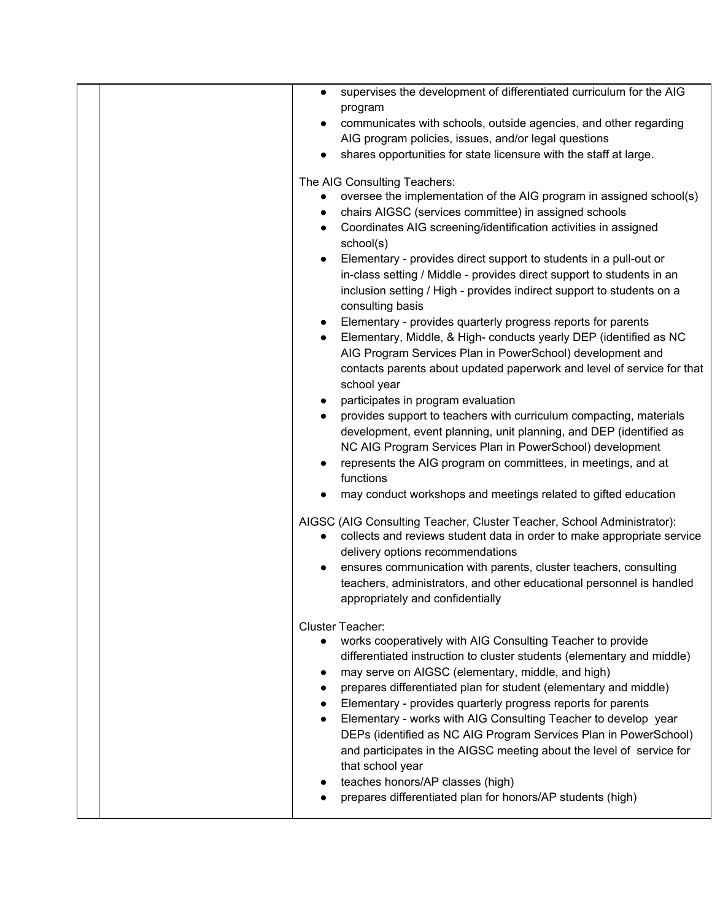|  | supervises the development of differentiated curriculum for the AIG<br>$\bullet$          |
|--|-------------------------------------------------------------------------------------------|
|  | program                                                                                   |
|  | communicates with schools, outside agencies, and other regarding                          |
|  | AIG program policies, issues, and/or legal questions                                      |
|  | shares opportunities for state licensure with the staff at large.                         |
|  | The AIG Consulting Teachers:                                                              |
|  | oversee the implementation of the AIG program in assigned school(s)<br>$\bullet$          |
|  | chairs AIGSC (services committee) in assigned schools<br>$\bullet$                        |
|  | Coordinates AIG screening/identification activities in assigned<br>school(s)              |
|  | Elementary - provides direct support to students in a pull-out or                         |
|  | in-class setting / Middle - provides direct support to students in an                     |
|  | inclusion setting / High - provides indirect support to students on a<br>consulting basis |
|  | Elementary - provides quarterly progress reports for parents                              |
|  | Elementary, Middle, & High- conducts yearly DEP (identified as NC<br>$\bullet$            |
|  | AIG Program Services Plan in PowerSchool) development and                                 |
|  | contacts parents about updated paperwork and level of service for that                    |
|  | school year                                                                               |
|  | participates in program evaluation                                                        |
|  | provides support to teachers with curriculum compacting, materials                        |
|  | development, event planning, unit planning, and DEP (identified as                        |
|  | NC AIG Program Services Plan in PowerSchool) development                                  |
|  | represents the AIG program on committees, in meetings, and at<br>functions                |
|  | may conduct workshops and meetings related to gifted education                            |
|  | AIGSC (AIG Consulting Teacher, Cluster Teacher, School Administrator):                    |
|  | collects and reviews student data in order to make appropriate service                    |
|  | delivery options recommendations                                                          |
|  | ensures communication with parents, cluster teachers, consulting                          |
|  | teachers, administrators, and other educational personnel is handled                      |
|  | appropriately and confidentially                                                          |
|  | <b>Cluster Teacher:</b>                                                                   |
|  | works cooperatively with AIG Consulting Teacher to provide                                |
|  | differentiated instruction to cluster students (elementary and middle)                    |
|  | may serve on AIGSC (elementary, middle, and high)                                         |
|  | prepares differentiated plan for student (elementary and middle)                          |
|  | Elementary - provides quarterly progress reports for parents                              |
|  | Elementary - works with AIG Consulting Teacher to develop year                            |
|  | DEPs (identified as NC AIG Program Services Plan in PowerSchool)                          |
|  | and participates in the AIGSC meeting about the level of service for<br>that school year  |
|  | teaches honors/AP classes (high)                                                          |
|  | prepares differentiated plan for honors/AP students (high)                                |
|  |                                                                                           |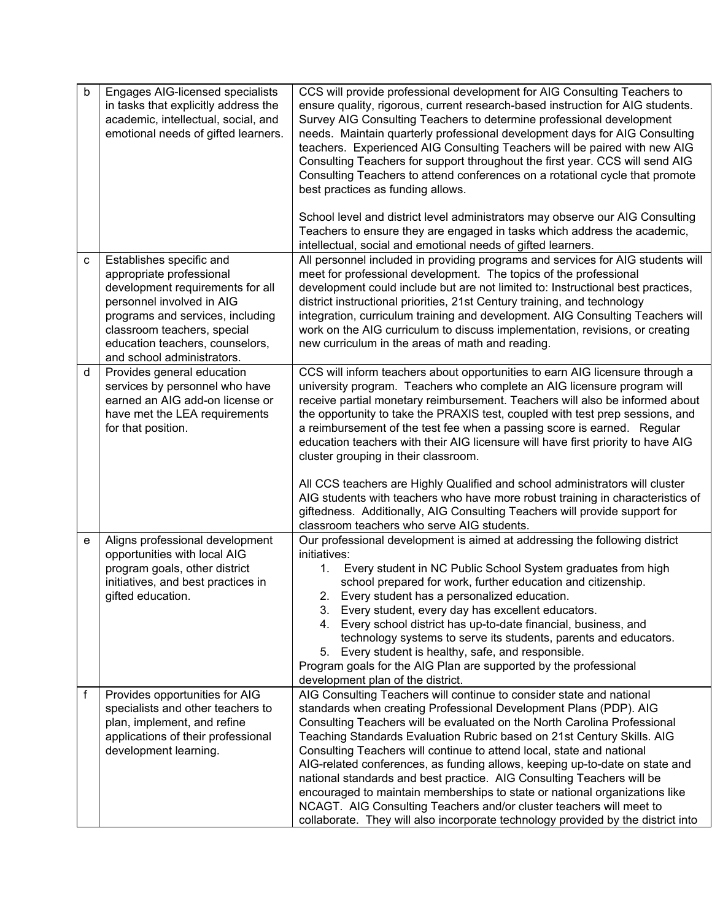| b | Engages AIG-licensed specialists<br>in tasks that explicitly address the<br>academic, intellectual, social, and<br>emotional needs of gifted learners.                                                                                                    | CCS will provide professional development for AIG Consulting Teachers to<br>ensure quality, rigorous, current research-based instruction for AIG students.<br>Survey AIG Consulting Teachers to determine professional development<br>needs. Maintain quarterly professional development days for AIG Consulting<br>teachers. Experienced AIG Consulting Teachers will be paired with new AIG<br>Consulting Teachers for support throughout the first year. CCS will send AIG<br>Consulting Teachers to attend conferences on a rotational cycle that promote<br>best practices as funding allows.<br>School level and district level administrators may observe our AIG Consulting                                                                                                                                           |
|---|-----------------------------------------------------------------------------------------------------------------------------------------------------------------------------------------------------------------------------------------------------------|-------------------------------------------------------------------------------------------------------------------------------------------------------------------------------------------------------------------------------------------------------------------------------------------------------------------------------------------------------------------------------------------------------------------------------------------------------------------------------------------------------------------------------------------------------------------------------------------------------------------------------------------------------------------------------------------------------------------------------------------------------------------------------------------------------------------------------|
|   |                                                                                                                                                                                                                                                           | Teachers to ensure they are engaged in tasks which address the academic,<br>intellectual, social and emotional needs of gifted learners.                                                                                                                                                                                                                                                                                                                                                                                                                                                                                                                                                                                                                                                                                      |
| C | Establishes specific and<br>appropriate professional<br>development requirements for all<br>personnel involved in AIG<br>programs and services, including<br>classroom teachers, special<br>education teachers, counselors,<br>and school administrators. | All personnel included in providing programs and services for AIG students will<br>meet for professional development. The topics of the professional<br>development could include but are not limited to: Instructional best practices,<br>district instructional priorities, 21st Century training, and technology<br>integration, curriculum training and development. AIG Consulting Teachers will<br>work on the AIG curriculum to discuss implementation, revisions, or creating<br>new curriculum in the areas of math and reading.                                                                                                                                                                                                                                                                                     |
| d | Provides general education<br>services by personnel who have<br>earned an AIG add-on license or<br>have met the LEA requirements<br>for that position.                                                                                                    | CCS will inform teachers about opportunities to earn AIG licensure through a<br>university program. Teachers who complete an AIG licensure program will<br>receive partial monetary reimbursement. Teachers will also be informed about<br>the opportunity to take the PRAXIS test, coupled with test prep sessions, and<br>a reimbursement of the test fee when a passing score is earned. Regular<br>education teachers with their AIG licensure will have first priority to have AIG<br>cluster grouping in their classroom.<br>All CCS teachers are Highly Qualified and school administrators will cluster<br>AIG students with teachers who have more robust training in characteristics of<br>giftedness. Additionally, AIG Consulting Teachers will provide support for<br>classroom teachers who serve AIG students. |
| е | Aligns professional development<br>opportunities with local AIG<br>program goals, other district<br>initiatives, and best practices in<br>gifted education.                                                                                               | Our professional development is aimed at addressing the following district<br>initiatives:<br>Every student in NC Public School System graduates from high<br>1.<br>school prepared for work, further education and citizenship.<br>2. Every student has a personalized education.<br>3. Every student, every day has excellent educators.<br>4. Every school district has up-to-date financial, business, and<br>technology systems to serve its students, parents and educators.<br>5. Every student is healthy, safe, and responsible.<br>Program goals for the AIG Plan are supported by the professional<br>development plan of the district.                                                                                                                                                                            |
| f | Provides opportunities for AIG<br>specialists and other teachers to<br>plan, implement, and refine<br>applications of their professional<br>development learning.                                                                                         | AIG Consulting Teachers will continue to consider state and national<br>standards when creating Professional Development Plans (PDP). AIG<br>Consulting Teachers will be evaluated on the North Carolina Professional<br>Teaching Standards Evaluation Rubric based on 21st Century Skills. AIG<br>Consulting Teachers will continue to attend local, state and national<br>AIG-related conferences, as funding allows, keeping up-to-date on state and<br>national standards and best practice. AIG Consulting Teachers will be<br>encouraged to maintain memberships to state or national organizations like<br>NCAGT. AIG Consulting Teachers and/or cluster teachers will meet to<br>collaborate. They will also incorporate technology provided by the district into                                                     |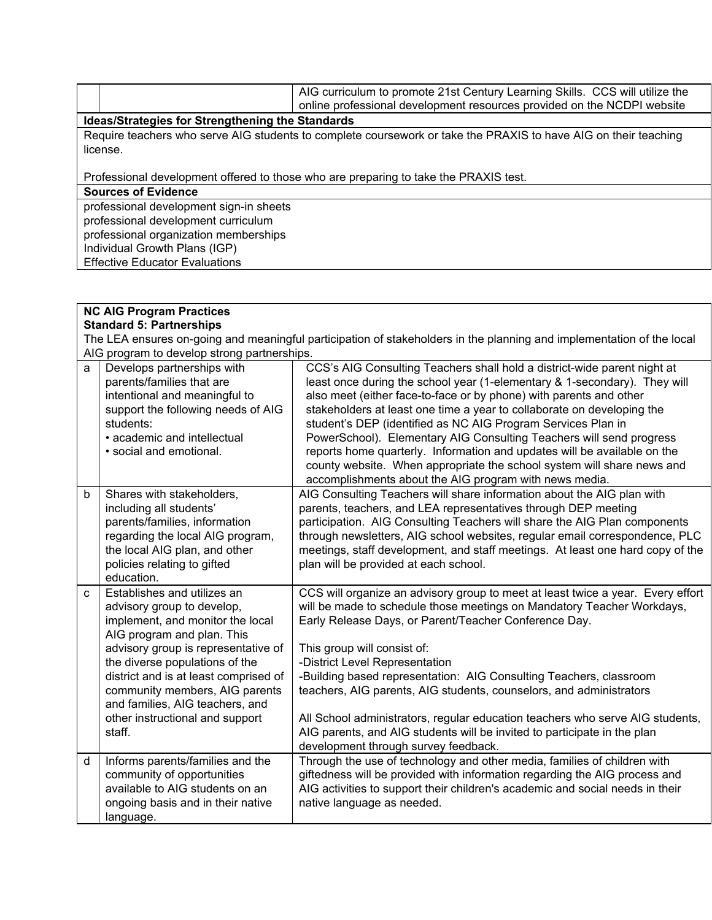|                                                  |                                                                                                                 | AIG curriculum to promote 21st Century Learning Skills. CCS will utilize the |
|--------------------------------------------------|-----------------------------------------------------------------------------------------------------------------|------------------------------------------------------------------------------|
|                                                  |                                                                                                                 | online professional development resources provided on the NCDPI website      |
| Ideas/Strategies for Strengthening the Standards |                                                                                                                 |                                                                              |
|                                                  | Require teachers who serve AIG students to complete coursework or take the PRAXIS to have AIG on their teaching |                                                                              |
|                                                  | license.                                                                                                        |                                                                              |

Professional development offered to those who are preparing to take the PRAXIS test.

**Sources of Evidence**

professional development sign-in sheets professional development curriculum professional organization memberships Individual Growth Plans (IGP) Effective Educator Evaluations

| <b>NC AIG Program Practices</b>                                                                                       |                                                                                                                                                                                                                                                                                                                                                                 |                                                                                                                                                                                                                                                                                                                                                                                                                                                                                                                                                                                                                                                              |
|-----------------------------------------------------------------------------------------------------------------------|-----------------------------------------------------------------------------------------------------------------------------------------------------------------------------------------------------------------------------------------------------------------------------------------------------------------------------------------------------------------|--------------------------------------------------------------------------------------------------------------------------------------------------------------------------------------------------------------------------------------------------------------------------------------------------------------------------------------------------------------------------------------------------------------------------------------------------------------------------------------------------------------------------------------------------------------------------------------------------------------------------------------------------------------|
| <b>Standard 5: Partnerships</b>                                                                                       |                                                                                                                                                                                                                                                                                                                                                                 |                                                                                                                                                                                                                                                                                                                                                                                                                                                                                                                                                                                                                                                              |
| The LEA ensures on-going and meaningful participation of stakeholders in the planning and implementation of the local |                                                                                                                                                                                                                                                                                                                                                                 |                                                                                                                                                                                                                                                                                                                                                                                                                                                                                                                                                                                                                                                              |
|                                                                                                                       | AIG program to develop strong partnerships.                                                                                                                                                                                                                                                                                                                     |                                                                                                                                                                                                                                                                                                                                                                                                                                                                                                                                                                                                                                                              |
| a                                                                                                                     | Develops partnerships with<br>parents/families that are<br>intentional and meaningful to<br>support the following needs of AIG<br>students:<br>• academic and intellectual<br>· social and emotional.                                                                                                                                                           | CCS's AIG Consulting Teachers shall hold a district-wide parent night at<br>least once during the school year (1-elementary & 1-secondary). They will<br>also meet (either face-to-face or by phone) with parents and other<br>stakeholders at least one time a year to collaborate on developing the<br>student's DEP (identified as NC AIG Program Services Plan in<br>PowerSchool). Elementary AIG Consulting Teachers will send progress<br>reports home quarterly. Information and updates will be available on the<br>county website. When appropriate the school system will share news and<br>accomplishments about the AIG program with news media. |
| b                                                                                                                     | Shares with stakeholders,<br>including all students'<br>parents/families, information<br>regarding the local AIG program,<br>the local AIG plan, and other<br>policies relating to gifted<br>education.                                                                                                                                                         | AIG Consulting Teachers will share information about the AIG plan with<br>parents, teachers, and LEA representatives through DEP meeting<br>participation. AIG Consulting Teachers will share the AIG Plan components<br>through newsletters, AIG school websites, regular email correspondence, PLC<br>meetings, staff development, and staff meetings. At least one hard copy of the<br>plan will be provided at each school.                                                                                                                                                                                                                              |
| $\mathbf{C}$                                                                                                          | Establishes and utilizes an<br>advisory group to develop,<br>implement, and monitor the local<br>AIG program and plan. This<br>advisory group is representative of<br>the diverse populations of the<br>district and is at least comprised of<br>community members, AIG parents<br>and families, AIG teachers, and<br>other instructional and support<br>staff. | CCS will organize an advisory group to meet at least twice a year. Every effort<br>will be made to schedule those meetings on Mandatory Teacher Workdays,<br>Early Release Days, or Parent/Teacher Conference Day.<br>This group will consist of:<br>-District Level Representation<br>-Building based representation: AIG Consulting Teachers, classroom<br>teachers, AIG parents, AIG students, counselors, and administrators<br>All School administrators, regular education teachers who serve AIG students,<br>AIG parents, and AIG students will be invited to participate in the plan<br>development through survey feedback.                        |
| d                                                                                                                     | Informs parents/families and the<br>community of opportunities<br>available to AIG students on an<br>ongoing basis and in their native<br>language.                                                                                                                                                                                                             | Through the use of technology and other media, families of children with<br>giftedness will be provided with information regarding the AIG process and<br>AIG activities to support their children's academic and social needs in their<br>native language as needed.                                                                                                                                                                                                                                                                                                                                                                                        |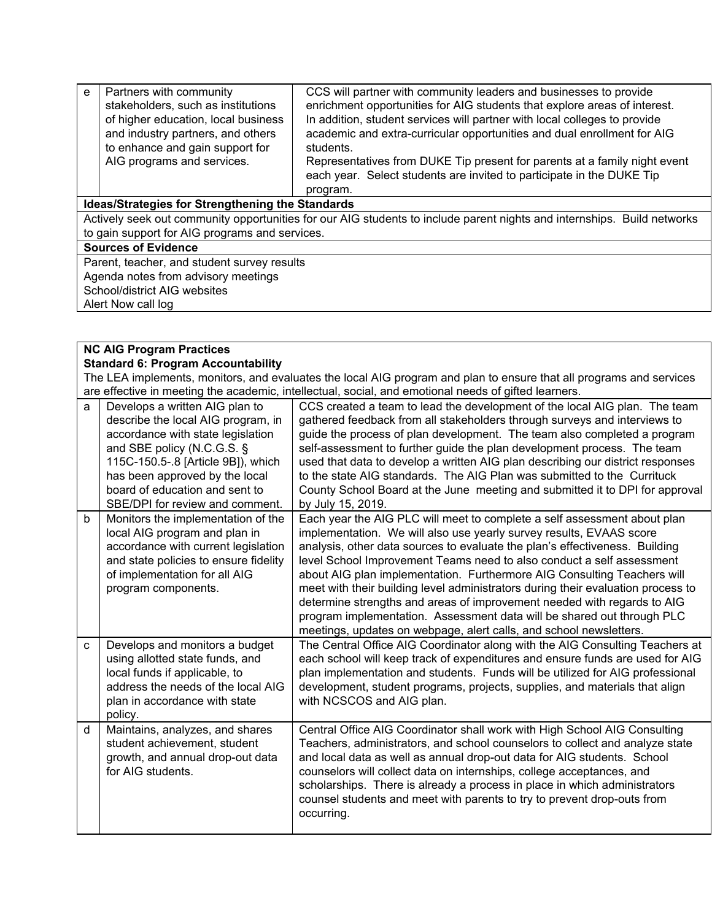| e                                                                                                                       | Partners with community                        | CCS will partner with community leaders and businesses to provide         |  |
|-------------------------------------------------------------------------------------------------------------------------|------------------------------------------------|---------------------------------------------------------------------------|--|
|                                                                                                                         | stakeholders, such as institutions             | enrichment opportunities for AIG students that explore areas of interest. |  |
|                                                                                                                         | of higher education, local business            | In addition, student services will partner with local colleges to provide |  |
|                                                                                                                         | and industry partners, and others              | academic and extra-curricular opportunities and dual enrollment for AIG   |  |
|                                                                                                                         | to enhance and gain support for                | students.                                                                 |  |
|                                                                                                                         | AIG programs and services.                     | Representatives from DUKE Tip present for parents at a family night event |  |
|                                                                                                                         |                                                | each year. Select students are invited to participate in the DUKE Tip     |  |
|                                                                                                                         |                                                | program.                                                                  |  |
| <b>Ideas/Strategies for Strengthening the Standards</b>                                                                 |                                                |                                                                           |  |
| Actively seek out community opportunities for our AIG students to include parent nights and internships. Build networks |                                                |                                                                           |  |
|                                                                                                                         | to gain support for AIG programs and services. |                                                                           |  |
| <b>Sources of Evidence</b>                                                                                              |                                                |                                                                           |  |
|                                                                                                                         | Parent, teacher, and student survey results    |                                                                           |  |
| Agenda notes from advisory meetings                                                                                     |                                                |                                                                           |  |
|                                                                                                                         | School/district AIG websites                   |                                                                           |  |
|                                                                                                                         | Alert Now call log                             |                                                                           |  |

| <b>NC AIG Program Practices</b>           |                                                                                                                                                                                                                                                                                      |                                                                                                                                                                                                                                                                                                                                                                                                                                                                                                                                                                                                                                                                                                   |  |
|-------------------------------------------|--------------------------------------------------------------------------------------------------------------------------------------------------------------------------------------------------------------------------------------------------------------------------------------|---------------------------------------------------------------------------------------------------------------------------------------------------------------------------------------------------------------------------------------------------------------------------------------------------------------------------------------------------------------------------------------------------------------------------------------------------------------------------------------------------------------------------------------------------------------------------------------------------------------------------------------------------------------------------------------------------|--|
| <b>Standard 6: Program Accountability</b> |                                                                                                                                                                                                                                                                                      |                                                                                                                                                                                                                                                                                                                                                                                                                                                                                                                                                                                                                                                                                                   |  |
|                                           | The LEA implements, monitors, and evaluates the local AIG program and plan to ensure that all programs and services                                                                                                                                                                  |                                                                                                                                                                                                                                                                                                                                                                                                                                                                                                                                                                                                                                                                                                   |  |
|                                           |                                                                                                                                                                                                                                                                                      | are effective in meeting the academic, intellectual, social, and emotional needs of gifted learners.                                                                                                                                                                                                                                                                                                                                                                                                                                                                                                                                                                                              |  |
| a                                         | Develops a written AIG plan to<br>describe the local AIG program, in<br>accordance with state legislation<br>and SBE policy (N.C.G.S. §<br>115C-150.5-.8 [Article 9B]), which<br>has been approved by the local<br>board of education and sent to<br>SBE/DPI for review and comment. | CCS created a team to lead the development of the local AIG plan. The team<br>gathered feedback from all stakeholders through surveys and interviews to<br>guide the process of plan development. The team also completed a program<br>self-assessment to further guide the plan development process. The team<br>used that data to develop a written AIG plan describing our district responses<br>to the state AIG standards. The AIG Plan was submitted to the Currituck<br>County School Board at the June meeting and submitted it to DPI for approval<br>by July 15, 2019.                                                                                                                  |  |
| b                                         | Monitors the implementation of the<br>local AIG program and plan in<br>accordance with current legislation<br>and state policies to ensure fidelity<br>of implementation for all AIG<br>program components.                                                                          | Each year the AIG PLC will meet to complete a self assessment about plan<br>implementation. We will also use yearly survey results, EVAAS score<br>analysis, other data sources to evaluate the plan's effectiveness. Building<br>level School Improvement Teams need to also conduct a self assessment<br>about AIG plan implementation. Furthermore AIG Consulting Teachers will<br>meet with their building level administrators during their evaluation process to<br>determine strengths and areas of improvement needed with regards to AIG<br>program implementation. Assessment data will be shared out through PLC<br>meetings, updates on webpage, alert calls, and school newsletters. |  |
| C                                         | Develops and monitors a budget<br>using allotted state funds, and<br>local funds if applicable, to<br>address the needs of the local AIG<br>plan in accordance with state<br>policy.                                                                                                 | The Central Office AIG Coordinator along with the AIG Consulting Teachers at<br>each school will keep track of expenditures and ensure funds are used for AIG<br>plan implementation and students. Funds will be utilized for AIG professional<br>development, student programs, projects, supplies, and materials that align<br>with NCSCOS and AIG plan.                                                                                                                                                                                                                                                                                                                                        |  |
| d                                         | Maintains, analyzes, and shares<br>student achievement, student<br>growth, and annual drop-out data<br>for AIG students.                                                                                                                                                             | Central Office AIG Coordinator shall work with High School AIG Consulting<br>Teachers, administrators, and school counselors to collect and analyze state<br>and local data as well as annual drop-out data for AIG students. School<br>counselors will collect data on internships, college acceptances, and<br>scholarships. There is already a process in place in which administrators<br>counsel students and meet with parents to try to prevent drop-outs from<br>occurring.                                                                                                                                                                                                               |  |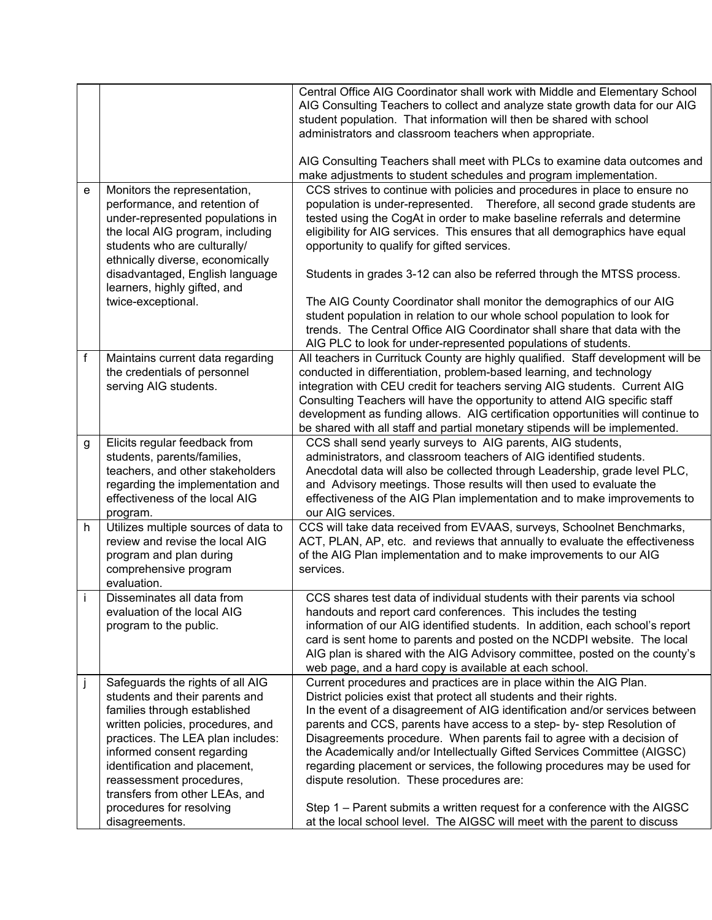|   |                                                                                                                                                                                                                                                                                                                                                         | Central Office AIG Coordinator shall work with Middle and Elementary School<br>AIG Consulting Teachers to collect and analyze state growth data for our AIG<br>student population. That information will then be shared with school<br>administrators and classroom teachers when appropriate.                                                                                                                                                                                                                                                                                                                                                                                                                                                |
|---|---------------------------------------------------------------------------------------------------------------------------------------------------------------------------------------------------------------------------------------------------------------------------------------------------------------------------------------------------------|-----------------------------------------------------------------------------------------------------------------------------------------------------------------------------------------------------------------------------------------------------------------------------------------------------------------------------------------------------------------------------------------------------------------------------------------------------------------------------------------------------------------------------------------------------------------------------------------------------------------------------------------------------------------------------------------------------------------------------------------------|
|   |                                                                                                                                                                                                                                                                                                                                                         | AIG Consulting Teachers shall meet with PLCs to examine data outcomes and<br>make adjustments to student schedules and program implementation.                                                                                                                                                                                                                                                                                                                                                                                                                                                                                                                                                                                                |
| e | Monitors the representation,<br>performance, and retention of<br>under-represented populations in<br>the local AIG program, including<br>students who are culturally/<br>ethnically diverse, economically<br>disadvantaged, English language<br>learners, highly gifted, and<br>twice-exceptional.                                                      | CCS strives to continue with policies and procedures in place to ensure no<br>population is under-represented. Therefore, all second grade students are<br>tested using the CogAt in order to make baseline referrals and determine<br>eligibility for AIG services. This ensures that all demographics have equal<br>opportunity to qualify for gifted services.<br>Students in grades 3-12 can also be referred through the MTSS process.<br>The AIG County Coordinator shall monitor the demographics of our AIG<br>student population in relation to our whole school population to look for<br>trends. The Central Office AIG Coordinator shall share that data with the                                                                 |
| f | Maintains current data regarding<br>the credentials of personnel<br>serving AIG students.                                                                                                                                                                                                                                                               | AIG PLC to look for under-represented populations of students.<br>All teachers in Currituck County are highly qualified. Staff development will be<br>conducted in differentiation, problem-based learning, and technology<br>integration with CEU credit for teachers serving AIG students. Current AIG<br>Consulting Teachers will have the opportunity to attend AIG specific staff<br>development as funding allows. AIG certification opportunities will continue to<br>be shared with all staff and partial monetary stipends will be implemented.                                                                                                                                                                                      |
| g | Elicits regular feedback from<br>students, parents/families,<br>teachers, and other stakeholders<br>regarding the implementation and<br>effectiveness of the local AIG<br>program.                                                                                                                                                                      | CCS shall send yearly surveys to AIG parents, AIG students,<br>administrators, and classroom teachers of AIG identified students.<br>Anecdotal data will also be collected through Leadership, grade level PLC,<br>and Advisory meetings. Those results will then used to evaluate the<br>effectiveness of the AIG Plan implementation and to make improvements to<br>our AIG services.                                                                                                                                                                                                                                                                                                                                                       |
| h | Utilizes multiple sources of data to<br>review and revise the local AIG<br>program and plan during<br>comprehensive program<br>evaluation.                                                                                                                                                                                                              | CCS will take data received from EVAAS, surveys, Schoolnet Benchmarks,<br>ACT, PLAN, AP, etc. and reviews that annually to evaluate the effectiveness<br>of the AIG Plan implementation and to make improvements to our AIG<br>services.                                                                                                                                                                                                                                                                                                                                                                                                                                                                                                      |
|   | Disseminates all data from<br>evaluation of the local AIG<br>program to the public.                                                                                                                                                                                                                                                                     | CCS shares test data of individual students with their parents via school<br>handouts and report card conferences. This includes the testing<br>information of our AIG identified students. In addition, each school's report<br>card is sent home to parents and posted on the NCDPI website. The local<br>AIG plan is shared with the AIG Advisory committee, posted on the county's<br>web page, and a hard copy is available at each school.                                                                                                                                                                                                                                                                                              |
| j | Safeguards the rights of all AIG<br>students and their parents and<br>families through established<br>written policies, procedures, and<br>practices. The LEA plan includes:<br>informed consent regarding<br>identification and placement,<br>reassessment procedures,<br>transfers from other LEAs, and<br>procedures for resolving<br>disagreements. | Current procedures and practices are in place within the AIG Plan.<br>District policies exist that protect all students and their rights.<br>In the event of a disagreement of AIG identification and/or services between<br>parents and CCS, parents have access to a step- by- step Resolution of<br>Disagreements procedure. When parents fail to agree with a decision of<br>the Academically and/or Intellectually Gifted Services Committee (AIGSC)<br>regarding placement or services, the following procedures may be used for<br>dispute resolution. These procedures are:<br>Step 1 – Parent submits a written request for a conference with the AIGSC<br>at the local school level. The AIGSC will meet with the parent to discuss |